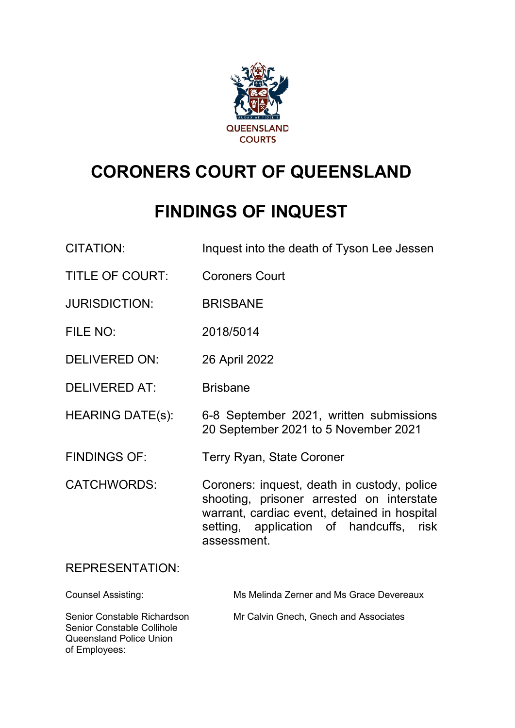

# **CORONERS COURT OF QUEENSLAND**

## **FINDINGS OF INQUEST**

| <b>CITATION:</b>                                                                     | Inquest into the death of Tyson Lee Jessen                                                                                                                                                         |
|--------------------------------------------------------------------------------------|----------------------------------------------------------------------------------------------------------------------------------------------------------------------------------------------------|
| <b>TITLE OF COURT:</b>                                                               | <b>Coroners Court</b>                                                                                                                                                                              |
| <b>JURISDICTION:</b>                                                                 | <b>BRISBANE</b>                                                                                                                                                                                    |
| FILE NO:                                                                             | 2018/5014                                                                                                                                                                                          |
| <b>DELIVERED ON:</b>                                                                 | 26 April 2022                                                                                                                                                                                      |
| <b>DELIVERED AT:</b>                                                                 | <b>Brisbane</b>                                                                                                                                                                                    |
| <b>HEARING DATE(s):</b>                                                              | 6-8 September 2021, written submissions<br>20 September 2021 to 5 November 2021                                                                                                                    |
| <b>FINDINGS OF:</b>                                                                  | Terry Ryan, State Coroner                                                                                                                                                                          |
| <b>CATCHWORDS:</b>                                                                   | Coroners: inquest, death in custody, police<br>shooting, prisoner arrested on interstate<br>warrant, cardiac event, detained in hospital<br>setting, application of handcuffs, risk<br>assessment. |
| <b>REPRESENTATION:</b>                                                               |                                                                                                                                                                                                    |
| <b>Counsel Assisting:</b>                                                            | Ms Melinda Zerner and Ms Grace Devereaux                                                                                                                                                           |
| Senior Constable Richardson<br>Senior Constable Collihole<br>Queensland Police Union | Mr Calvin Gnech, Gnech and Associates                                                                                                                                                              |

of Employees: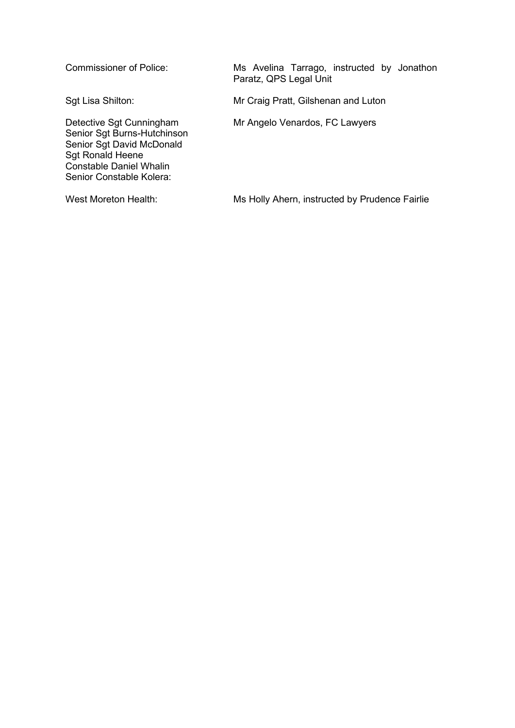Senior Sgt Burns-Hutchinson Senior Sgt David McDonald Sgt Ronald Heene Constable Daniel Whalin Senior Constable Kolera:

Commissioner of Police: Ms Avelina Tarrago, instructed by Jonathon Paratz, QPS Legal Unit

Sgt Lisa Shilton: Mr Craig Pratt, Gilshenan and Luton

Detective Sgt Cunningham Mr Angelo Venardos, FC Lawyers

West Moreton Health: Ms Holly Ahern, instructed by Prudence Fairlie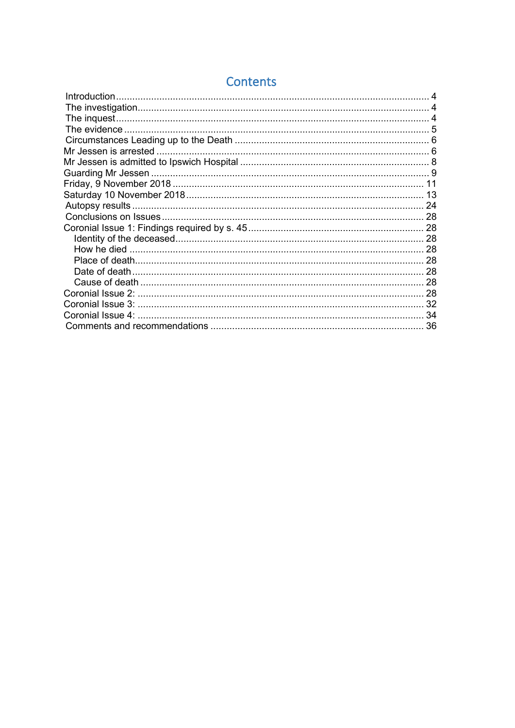| Introduction      |    |
|-------------------|----|
|                   |    |
|                   |    |
|                   |    |
|                   |    |
|                   |    |
|                   |    |
|                   |    |
|                   |    |
|                   | 13 |
|                   |    |
|                   |    |
|                   |    |
|                   |    |
|                   |    |
|                   |    |
|                   |    |
|                   |    |
|                   |    |
|                   |    |
| Coronial Issue 4: |    |
|                   | 36 |

## Contents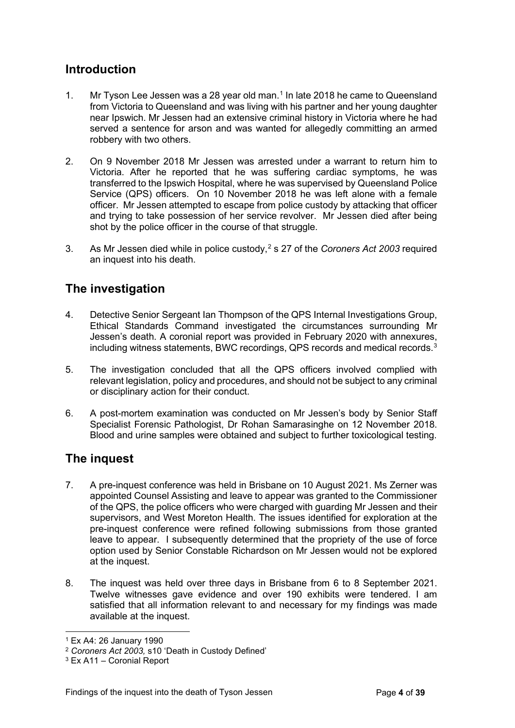## <span id="page-3-0"></span>**Introduction**

- 1. Mr Tyson Lee Jessen was a 28 year old man. [1](#page-3-3) In late 2018 he came to Queensland from Victoria to Queensland and was living with his partner and her young daughter near Ipswich. Mr Jessen had an extensive criminal history in Victoria where he had served a sentence for arson and was wanted for allegedly committing an armed robbery with two others.
- 2. On 9 November 2018 Mr Jessen was arrested under a warrant to return him to Victoria. After he reported that he was suffering cardiac symptoms, he was transferred to the Ipswich Hospital, where he was supervised by Queensland Police Service (QPS) officers. On 10 November 2018 he was left alone with a female officer. Mr Jessen attempted to escape from police custody by attacking that officer and trying to take possession of her service revolver. Mr Jessen died after being shot by the police officer in the course of that struggle.
- 3. As Mr Jessen died while in police custody, [2](#page-3-4) s 27 of the *Coroners Act 2003* required an inquest into his death.

## <span id="page-3-1"></span>**The investigation**

- 4. Detective Senior Sergeant Ian Thompson of the QPS Internal Investigations Group, Ethical Standards Command investigated the circumstances surrounding Mr Jessen's death. A coronial report was provided in February 2020 with annexures, including witness statements, BWC recordings, QPS records and medical records.[3](#page-3-5)
- 5. The investigation concluded that all the QPS officers involved complied with relevant legislation, policy and procedures, and should not be subject to any criminal or disciplinary action for their conduct.
- 6. A post-mortem examination was conducted on Mr Jessen's body by Senior Staff Specialist Forensic Pathologist, Dr Rohan Samarasinghe on 12 November 2018. Blood and urine samples were obtained and subject to further toxicological testing.

## <span id="page-3-2"></span>**The inquest**

- 7. A pre-inquest conference was held in Brisbane on 10 August 2021. Ms Zerner was appointed Counsel Assisting and leave to appear was granted to the Commissioner of the QPS, the police officers who were charged with guarding Mr Jessen and their supervisors, and West Moreton Health. The issues identified for exploration at the pre-inquest conference were refined following submissions from those granted leave to appear. I subsequently determined that the propriety of the use of force option used by Senior Constable Richardson on Mr Jessen would not be explored at the inquest.
- 8. The inquest was held over three days in Brisbane from 6 to 8 September 2021. Twelve witnesses gave evidence and over 190 exhibits were tendered. I am satisfied that all information relevant to and necessary for my findings was made available at the inquest.

<span id="page-3-3"></span><sup>1</sup> Ex A4: 26 January 1990

<span id="page-3-4"></span><sup>2</sup> *Coroners Act 2003,* s10 'Death in Custody Defined'

<span id="page-3-5"></span><sup>3</sup> Ex A11 – Coronial Report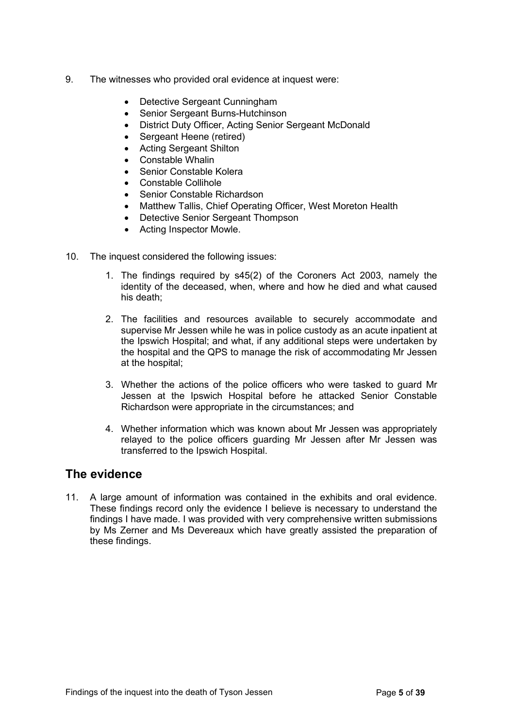- 9. The witnesses who provided oral evidence at inquest were:
	- Detective Sergeant Cunningham
	- Senior Sergeant Burns-Hutchinson
	- District Duty Officer, Acting Senior Sergeant McDonald
	- Sergeant Heene (retired)
	- Acting Sergeant Shilton
	- Constable Whalin
	- Senior Constable Kolera
	- Constable Collihole
	- Senior Constable Richardson
	- Matthew Tallis, Chief Operating Officer, West Moreton Health
	- Detective Senior Sergeant Thompson
	- Acting Inspector Mowle.
- 10. The inquest considered the following issues:
	- 1. The findings required by s45(2) of the Coroners Act 2003, namely the identity of the deceased, when, where and how he died and what caused his death;
	- 2. The facilities and resources available to securely accommodate and supervise Mr Jessen while he was in police custody as an acute inpatient at the Ipswich Hospital; and what, if any additional steps were undertaken by the hospital and the QPS to manage the risk of accommodating Mr Jessen at the hospital;
	- 3. Whether the actions of the police officers who were tasked to guard Mr Jessen at the Ipswich Hospital before he attacked Senior Constable Richardson were appropriate in the circumstances; and
	- 4. Whether information which was known about Mr Jessen was appropriately relayed to the police officers guarding Mr Jessen after Mr Jessen was transferred to the Ipswich Hospital.

## <span id="page-4-0"></span>**The evidence**

11. A large amount of information was contained in the exhibits and oral evidence. These findings record only the evidence I believe is necessary to understand the findings I have made. I was provided with very comprehensive written submissions by Ms Zerner and Ms Devereaux which have greatly assisted the preparation of these findings.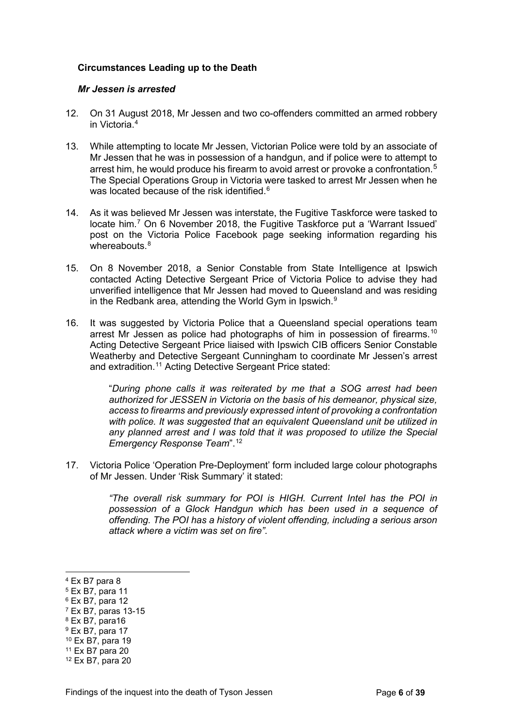#### <span id="page-5-1"></span><span id="page-5-0"></span>**Circumstances Leading up to the Death**

#### *Mr Jessen is arrested*

- 12. On 31 August 2018, Mr Jessen and two co-offenders committed an armed robbery in Victoria. [4](#page-5-2)
- 13. While attempting to locate Mr Jessen, Victorian Police were told by an associate of Mr Jessen that he was in possession of a handgun, and if police were to attempt to arrest him, he would produce his firearm to avoid arrest or provoke a confrontation.<sup>[5](#page-5-3)</sup> The Special Operations Group in Victoria were tasked to arrest Mr Jessen when he was located because of the risk identified. $^6$  $^6$
- 14. As it was believed Mr Jessen was interstate, the Fugitive Taskforce were tasked to locate him.<sup>[7](#page-5-5)</sup> On 6 November 2018, the Fugitive Taskforce put a 'Warrant Issued' post on the Victoria Police Facebook page seeking information regarding his whereabouts  $8$
- 15. On 8 November 2018, a Senior Constable from State Intelligence at Ipswich contacted Acting Detective Sergeant Price of Victoria Police to advise they had unverified intelligence that Mr Jessen had moved to Queensland and was residing in the Redbank area, attending the World Gym in Ipswich.<sup>[9](#page-5-7)</sup>
- 16. It was suggested by Victoria Police that a Queensland special operations team arrest Mr Jessen as police had photographs of him in possession of firearms.<sup>[10](#page-5-8)</sup> Acting Detective Sergeant Price liaised with Ipswich CIB officers Senior Constable Weatherby and Detective Sergeant Cunningham to coordinate Mr Jessen's arrest and extradition.<sup>[11](#page-5-9)</sup> Acting Detective Sergeant Price stated:

"*During phone calls it was reiterated by me that a SOG arrest had been authorized for JESSEN in Victoria on the basis of his demeanor, physical size, access to firearms and previously expressed intent of provoking a confrontation*  with police. It was suggested that an equivalent Queensland unit be utilized in *any planned arrest and I was told that it was proposed to utilize the Special Emergency Response Team*".[12](#page-5-10)

17. Victoria Police 'Operation Pre-Deployment' form included large colour photographs of Mr Jessen. Under 'Risk Summary' it stated:

> *"The overall risk summary for POI is HIGH. Current Intel has the POI in possession of a Glock Handgun which has been used in a sequence of offending. The POI has a history of violent offending, including a serious arson attack where a victim was set on fire".*

- <span id="page-5-6"></span> $8$  Ex B7, para16
- <span id="page-5-7"></span> $9$  Ex B7, para 17
- <span id="page-5-8"></span><sup>10</sup> Ex B7, para 19

<span id="page-5-2"></span><sup>4</sup> Ex B7 para 8

<span id="page-5-3"></span> $5$  Ex B7, para 11

<span id="page-5-4"></span> $6$  Ex B7, para 12

<span id="page-5-5"></span><sup>7</sup> Ex B7, paras 13-15

<span id="page-5-9"></span><sup>11</sup> Ex B7 para 20

<span id="page-5-10"></span><sup>12</sup> Ex B7, para 20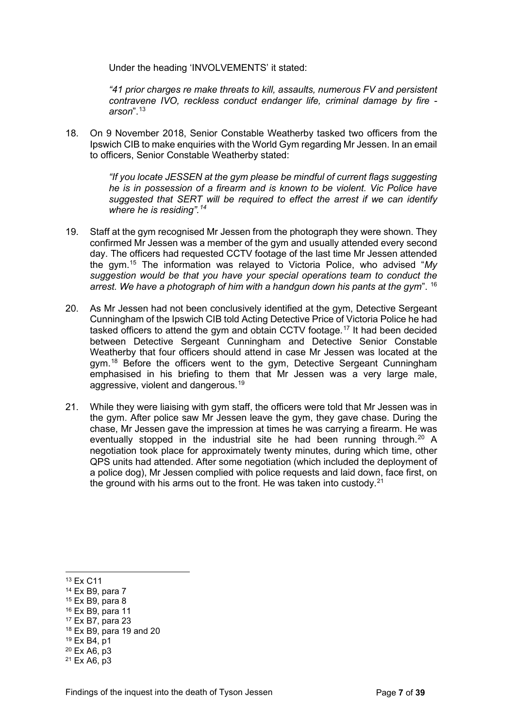Under the heading 'INVOLVEMENTS' it stated:

*"41 prior charges re make threats to kill, assaults, numerous FV and persistent contravene IVO, reckless conduct endanger life, criminal damage by fire arson*".[13](#page-6-0)

18. On 9 November 2018, Senior Constable Weatherby tasked two officers from the Ipswich CIB to make enquiries with the World Gym regarding Mr Jessen. In an email to officers, Senior Constable Weatherby stated:

> *"If you locate JESSEN at the gym please be mindful of current flags suggesting he is in possession of a firearm and is known to be violent. Vic Police have suggested that SERT will be required to effect the arrest if we can identify where he is residing".[14](#page-6-1)*

- 19. Staff at the gym recognised Mr Jessen from the photograph they were shown. They confirmed Mr Jessen was a member of the gym and usually attended every second day. The officers had requested CCTV footage of the last time Mr Jessen attended the gym.[15](#page-6-2) The information was relayed to Victoria Police, who advised "*My suggestion would be that you have your special operations team to conduct the arrest. We have a photograph of him with a handgun down his pants at the gym*". [16](#page-6-3)
- 20. As Mr Jessen had not been conclusively identified at the gym, Detective Sergeant Cunningham of the Ipswich CIB told Acting Detective Price of Victoria Police he had tasked officers to attend the gym and obtain CCTV footage.<sup>[17](#page-6-4)</sup> It had been decided between Detective Sergeant Cunningham and Detective Senior Constable Weatherby that four officers should attend in case Mr Jessen was located at the gym.[18](#page-6-5) Before the officers went to the gym, Detective Sergeant Cunningham emphasised in his briefing to them that Mr Jessen was a very large male, aggressive, violent and dangerous.[19](#page-6-6)
- 21. While they were liaising with gym staff, the officers were told that Mr Jessen was in the gym. After police saw Mr Jessen leave the gym, they gave chase. During the chase, Mr Jessen gave the impression at times he was carrying a firearm. He was eventually stopped in the industrial site he had been running through.<sup>[20](#page-6-7)</sup> A negotiation took place for approximately twenty minutes, during which time, other QPS units had attended. After some negotiation (which included the deployment of a police dog), Mr Jessen complied with police requests and laid down, face first, on the ground with his arms out to the front. He was taken into custody. $21$

<span id="page-6-0"></span><sup>13</sup> Ex C11

<span id="page-6-1"></span><sup>14</sup> Ex B9, para 7

<span id="page-6-2"></span><sup>15</sup> Ex B9, para 8

<span id="page-6-3"></span><sup>16</sup> Ex B9, para 11

<span id="page-6-4"></span><sup>17</sup> Ex B7, para 23

<span id="page-6-5"></span><sup>18</sup> Ex B9, para 19 and 20

<span id="page-6-6"></span><sup>19</sup> Ex B4, p1

<span id="page-6-7"></span> $20$  Ex A<sub>6</sub>, p<sub>3</sub>

<span id="page-6-8"></span> $21$  Ex A6, p3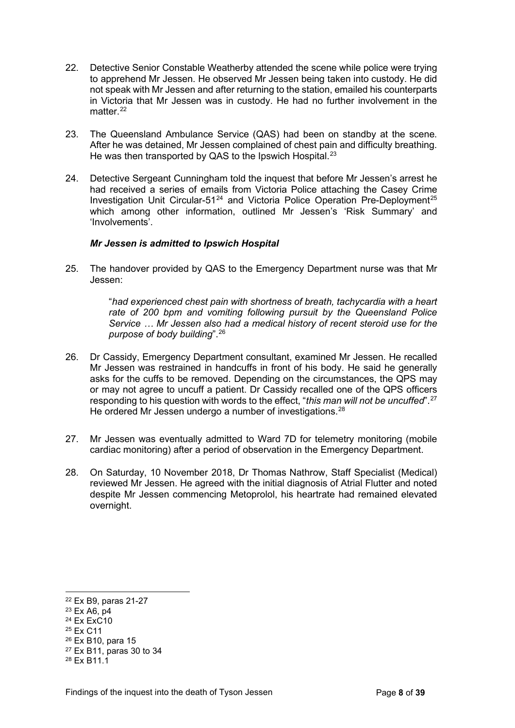- 22. Detective Senior Constable Weatherby attended the scene while police were trying to apprehend Mr Jessen. He observed Mr Jessen being taken into custody. He did not speak with Mr Jessen and after returning to the station, emailed his counterparts in Victoria that Mr Jessen was in custody. He had no further involvement in the matter $22$
- 23. The Queensland Ambulance Service (QAS) had been on standby at the scene. After he was detained, Mr Jessen complained of chest pain and difficulty breathing. He was then transported by QAS to the Ipswich Hospital.<sup>[23](#page-7-2)</sup>
- 24. Detective Sergeant Cunningham told the inquest that before Mr Jessen's arrest he had received a series of emails from Victoria Police attaching the Casey Crime Investigation Unit Circular-51<sup>[24](#page-7-3)</sup> and Victoria Police Operation Pre-Deployment<sup>[25](#page-7-4)</sup> which among other information, outlined Mr Jessen's 'Risk Summary' and 'Involvements'.

#### <span id="page-7-0"></span>*Mr Jessen is admitted to Ipswich Hospital*

25. The handover provided by QAS to the Emergency Department nurse was that Mr Jessen:

> "*had experienced chest pain with shortness of breath, tachycardia with a heart rate of 200 bpm and vomiting following pursuit by the Queensland Police Service … Mr Jessen also had a medical history of recent steroid use for the purpose of body building*".[26](#page-7-5)

- 26. Dr Cassidy, Emergency Department consultant, examined Mr Jessen. He recalled Mr Jessen was restrained in handcuffs in front of his body. He said he generally asks for the cuffs to be removed. Depending on the circumstances, the QPS may or may not agree to uncuff a patient. Dr Cassidy recalled one of the QPS officers responding to his question with words to the effect, "*this man will not be uncuffed*".[27](#page-7-6) He ordered Mr Jessen undergo a number of investigations.<sup>[28](#page-7-7)</sup>
- 27. Mr Jessen was eventually admitted to Ward 7D for telemetry monitoring (mobile cardiac monitoring) after a period of observation in the Emergency Department.
- 28. On Saturday, 10 November 2018, Dr Thomas Nathrow, Staff Specialist (Medical) reviewed Mr Jessen. He agreed with the initial diagnosis of Atrial Flutter and noted despite Mr Jessen commencing Metoprolol, his heartrate had remained elevated overnight.

- <span id="page-7-3"></span> $24$  Fx FxC10
- <span id="page-7-4"></span><sup>25</sup> Ex C11

<span id="page-7-1"></span><sup>22</sup> Ex B9, paras 21-27

<span id="page-7-2"></span> $23$  Ex A6, p4

<span id="page-7-5"></span><sup>26</sup> Ex B10, para 15

<span id="page-7-6"></span><sup>27</sup> Ex B11, paras 30 to 34

<span id="page-7-7"></span><sup>28</sup> Fx B<sub>11</sub> 1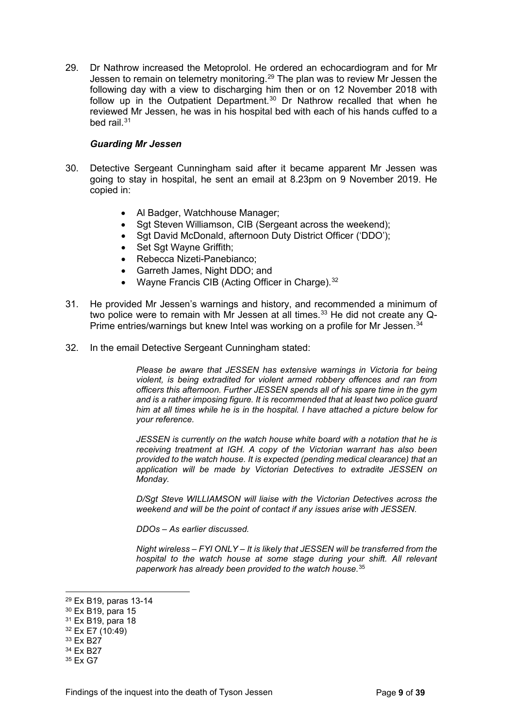29. Dr Nathrow increased the Metoprolol. He ordered an echocardiogram and for Mr Jessen to remain on telemetry monitoring.<sup>[29](#page-8-1)</sup> The plan was to review Mr Jessen the following day with a view to discharging him then or on 12 November 2018 with follow up in the Outpatient Department.<sup>[30](#page-8-2)</sup> Dr Nathrow recalled that when he reviewed Mr Jessen, he was in his hospital bed with each of his hands cuffed to a bed rail.[31](#page-8-3)

#### <span id="page-8-0"></span>*Guarding Mr Jessen*

- 30. Detective Sergeant Cunningham said after it became apparent Mr Jessen was going to stay in hospital, he sent an email at 8.23pm on 9 November 2019. He copied in:
	- Al Badger, Watchhouse Manager;
	- Sgt Steven Williamson, CIB (Sergeant across the weekend);
	- Sgt David McDonald, afternoon Duty District Officer ('DDO');
	- Set Sgt Wayne Griffith;
	- Rebecca Nizeti-Panebianco;
	- Garreth James, Night DDO; and
	- Wayne Francis CIB (Acting Officer in Charge).  $32$
- 31. He provided Mr Jessen's warnings and history, and recommended a minimum of two police were to remain with Mr Jessen at all times.<sup>[33](#page-8-5)</sup> He did not create any Q-Prime entries/warnings but knew Intel was working on a profile for Mr Jessen.<sup>[34](#page-8-6)</sup>
- 32. In the email Detective Sergeant Cunningham stated:

*Please be aware that JESSEN has extensive warnings in Victoria for being violent, is being extradited for violent armed robbery offences and ran from officers this afternoon. Further JESSEN spends all of his spare time in the gym and is a rather imposing figure. It is recommended that at least two police guard him at all times while he is in the hospital. I have attached a picture below for your reference.* 

*JESSEN is currently on the watch house white board with a notation that he is receiving treatment at IGH. A copy of the Victorian warrant has also been provided to the watch house. It is expected (pending medical clearance) that an application will be made by Victorian Detectives to extradite JESSEN on Monday.* 

*D/Sgt Steve WILLIAMSON will liaise with the Victorian Detectives across the weekend and will be the point of contact if any issues arise with JESSEN.* 

*DDOs – As earlier discussed.* 

*Night wireless – FYI ONLY – It is likely that JESSEN will be transferred from the hospital to the watch house at some stage during your shift. All relevant paperwork has already been provided to the watch house*.[35](#page-8-7)

<span id="page-8-1"></span><sup>29</sup> Ex B19, paras 13-14

<span id="page-8-2"></span><sup>30</sup> Ex B19, para 15

<span id="page-8-3"></span><sup>31</sup> Ex B19, para 18

<span id="page-8-4"></span><sup>32</sup> Ex E7 (10:49)

<span id="page-8-5"></span><sup>33</sup> Ex B27

<span id="page-8-6"></span><sup>34</sup> Ex B27

<span id="page-8-7"></span><sup>35</sup> Ex G7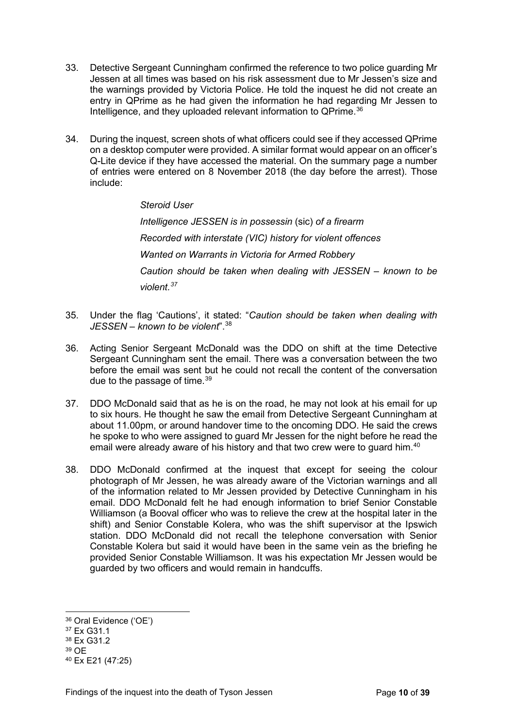- 33. Detective Sergeant Cunningham confirmed the reference to two police guarding Mr Jessen at all times was based on his risk assessment due to Mr Jessen's size and the warnings provided by Victoria Police. He told the inquest he did not create an entry in QPrime as he had given the information he had regarding Mr Jessen to Intelligence, and they uploaded relevant information to QPrime.<sup>[36](#page-9-0)</sup>
- 34. During the inquest, screen shots of what officers could see if they accessed QPrime on a desktop computer were provided. A similar format would appear on an officer's Q-Lite device if they have accessed the material. On the summary page a number of entries were entered on 8 November 2018 (the day before the arrest). Those include:

*Steroid User Intelligence JESSEN is in possessin* (sic) *of a firearm Recorded with interstate (VIC) history for violent offences Wanted on Warrants in Victoria for Armed Robbery Caution should be taken when dealing with JESSEN – known to be violent.[37](#page-9-1)*

- 35. Under the flag 'Cautions', it stated: "*Caution should be taken when dealing with JESSEN – known to be violent*"[.38](#page-9-2)
- 36. Acting Senior Sergeant McDonald was the DDO on shift at the time Detective Sergeant Cunningham sent the email. There was a conversation between the two before the email was sent but he could not recall the content of the conversation due to the passage of time.<sup>[39](#page-9-3)</sup>
- 37. DDO McDonald said that as he is on the road, he may not look at his email for up to six hours. He thought he saw the email from Detective Sergeant Cunningham at about 11.00pm, or around handover time to the oncoming DDO. He said the crews he spoke to who were assigned to guard Mr Jessen for the night before he read the email were already aware of his history and that two crew were to guard him.<sup>[40](#page-9-4)</sup>
- 38. DDO McDonald confirmed at the inquest that except for seeing the colour photograph of Mr Jessen, he was already aware of the Victorian warnings and all of the information related to Mr Jessen provided by Detective Cunningham in his email. DDO McDonald felt he had enough information to brief Senior Constable Williamson (a Booval officer who was to relieve the crew at the hospital later in the shift) and Senior Constable Kolera, who was the shift supervisor at the Ipswich station. DDO McDonald did not recall the telephone conversation with Senior Constable Kolera but said it would have been in the same vein as the briefing he provided Senior Constable Williamson. It was his expectation Mr Jessen would be guarded by two officers and would remain in handcuffs.

<span id="page-9-0"></span><sup>36</sup> Oral Evidence ('OE')

<span id="page-9-1"></span><sup>37</sup> Ex G31.1

<span id="page-9-2"></span><sup>38</sup> Fx G31 2

<span id="page-9-3"></span><sup>39</sup> OE

<span id="page-9-4"></span><sup>40</sup> Ex E21 (47:25)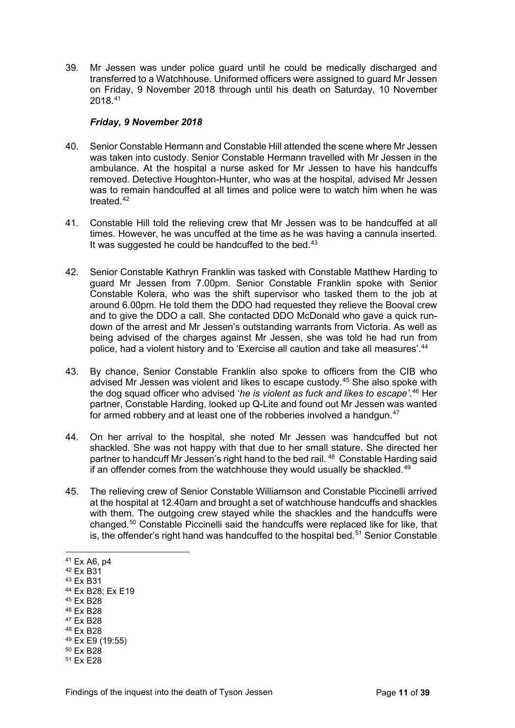39. Mr Jessen was under police guard until he could be medically discharged and transferred to a Watchhouse. Uniformed officers were assigned to guard Mr Jessen on Friday, 9 November 2018 through until his death on Saturday, 10 November 2018.[41](#page-10-1)

#### <span id="page-10-0"></span>*Friday, 9 November 2018*

- 40. Senior Constable Hermann and Constable Hill attended the scene where Mr Jessen was taken into custody. Senior Constable Hermann travelled with Mr Jessen in the ambulance. At the hospital a nurse asked for Mr Jessen to have his handcuffs removed. Detective Houghton-Hunter, who was at the hospital, advised Mr Jessen was to remain handcuffed at all times and police were to watch him when he was treated  $42$
- 41. Constable Hill told the relieving crew that Mr Jessen was to be handcuffed at all times. However, he was uncuffed at the time as he was having a cannula inserted. It was suggested he could be handcuffed to the bed. $43$
- 42. Senior Constable Kathryn Franklin was tasked with Constable Matthew Harding to guard Mr Jessen from 7.00pm. Senior Constable Franklin spoke with Senior Constable Kolera, who was the shift supervisor who tasked them to the job at around 6.00pm. He told them the DDO had requested they relieve the Booval crew and to give the DDO a call. She contacted DDO McDonald who gave a quick rundown of the arrest and Mr Jessen's outstanding warrants from Victoria. As well as being advised of the charges against Mr Jessen, she was told he had run from police, had a violent history and to 'Exercise all caution and take all measures'.<sup>[44](#page-10-4)</sup>
- 43. By chance, Senior Constable Franklin also spoke to officers from the CIB who advised Mr Jessen was violent and likes to escape custody.[45](#page-10-5) She also spoke with the dog squad officer who advised '*he is violent as fuck and likes to escape'*. [46](#page-10-6) Her partner, Constable Harding, looked up Q-Lite and found out Mr Jessen was wanted for armed robbery and at least one of the robberies involved a handgun.<sup>[47](#page-10-7)</sup>
- 44. On her arrival to the hospital, she noted Mr Jessen was handcuffed but not shackled. She was not happy with that due to her small stature. She directed her partner to handcuff Mr Jessen's right hand to the bed rail. [48](#page-10-8) Constable Harding said if an offender comes from the watchhouse they would usually be shackled. $49$
- 45. The relieving crew of Senior Constable Williamson and Constable Piccinelli arrived at the hospital at 12.40am and brought a set of watchhouse handcuffs and shackles with them. The outgoing crew stayed while the shackles and the handcuffs were changed.[50](#page-10-10) Constable Piccinelli said the handcuffs were replaced like for like, that is, the offender's right hand was handcuffed to the hospital bed.<sup>[51](#page-10-11)</sup> Senior Constable

- <span id="page-10-6"></span><sup>46</sup> Ex B28
- <span id="page-10-7"></span><sup>47</sup> Ex B28

- <span id="page-10-9"></span><sup>49</sup> Ex E9 (19:55)
- <span id="page-10-10"></span><sup>50</sup> Ex B28

<span id="page-10-1"></span><sup>41</sup> Ex A6, p4

<span id="page-10-2"></span><sup>42</sup> Ex B31

<span id="page-10-3"></span><sup>43</sup> Ex B31

<span id="page-10-4"></span><sup>44</sup> Ex B28; Ex E19

<span id="page-10-5"></span><sup>45</sup> Ex B28

<span id="page-10-8"></span><sup>48</sup> Ex B28

<span id="page-10-11"></span><sup>51</sup> Ex E28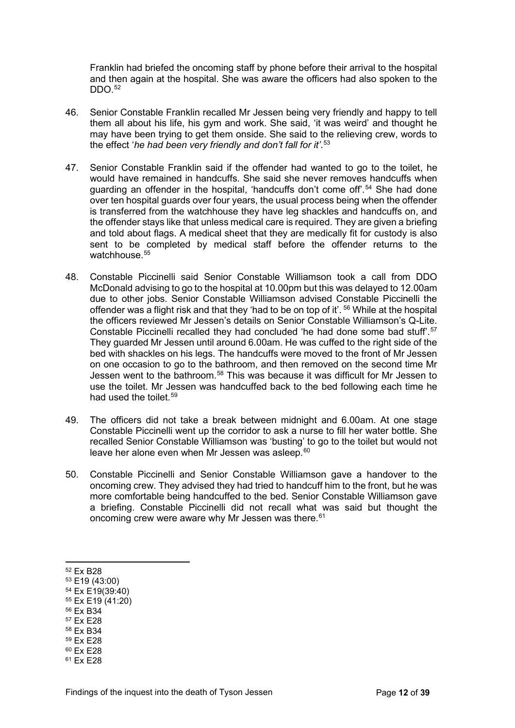Franklin had briefed the oncoming staff by phone before their arrival to the hospital and then again at the hospital. She was aware the officers had also spoken to the DDO.[52](#page-11-0)

- 46. Senior Constable Franklin recalled Mr Jessen being very friendly and happy to tell them all about his life, his gym and work. She said, 'it was weird' and thought he may have been trying to get them onside. She said to the relieving crew, words to the effect '*he had been very friendly and don't fall for it'*. [53](#page-11-1)
- 47. Senior Constable Franklin said if the offender had wanted to go to the toilet, he would have remained in handcuffs. She said she never removes handcuffs when guarding an offender in the hospital, 'handcuffs don't come off'.<sup>[54](#page-11-2)</sup> She had done over ten hospital guards over four years, the usual process being when the offender is transferred from the watchhouse they have leg shackles and handcuffs on, and the offender stays like that unless medical care is required. They are given a briefing and told about flags. A medical sheet that they are medically fit for custody is also sent to be completed by medical staff before the offender returns to the watchhouse. [55](#page-11-3)
- 48. Constable Piccinelli said Senior Constable Williamson took a call from DDO McDonald advising to go to the hospital at 10.00pm but this was delayed to 12.00am due to other jobs. Senior Constable Williamson advised Constable Piccinelli the offender was a flight risk and that they 'had to be on top of it'. [56](#page-11-4) While at the hospital the officers reviewed Mr Jessen's details on Senior Constable Williamson's Q-Lite. Constable Piccinelli recalled they had concluded 'he had done some bad stuff'.[57](#page-11-5) They guarded Mr Jessen until around 6.00am. He was cuffed to the right side of the bed with shackles on his legs. The handcuffs were moved to the front of Mr Jessen on one occasion to go to the bathroom, and then removed on the second time Mr Jessen went to the bathroom.[58](#page-11-6) This was because it was difficult for Mr Jessen to use the toilet. Mr Jessen was handcuffed back to the bed following each time he had used the toilet.<sup>[59](#page-11-7)</sup>
- 49. The officers did not take a break between midnight and 6.00am. At one stage Constable Piccinelli went up the corridor to ask a nurse to fill her water bottle. She recalled Senior Constable Williamson was 'busting' to go to the toilet but would not leave her alone even when Mr Jessen was asleep.<sup>[60](#page-11-8)</sup>
- 50. Constable Piccinelli and Senior Constable Williamson gave a handover to the oncoming crew. They advised they had tried to handcuff him to the front, but he was more comfortable being handcuffed to the bed. Senior Constable Williamson gave a briefing. Constable Piccinelli did not recall what was said but thought the oncoming crew were aware why Mr Jessen was there.<sup>[61](#page-11-9)</sup>

- <span id="page-11-4"></span><sup>56</sup> Ex B34
- <span id="page-11-5"></span><sup>57</sup> Ex E28

<span id="page-11-7"></span><sup>59</sup> Ex E28

<span id="page-11-9"></span><sup>61</sup> Ex E28

<span id="page-11-0"></span><sup>52</sup> Ex B28

<span id="page-11-1"></span><sup>53</sup> E19 (43:00)

<span id="page-11-2"></span><sup>54</sup> Ex E19(39:40)

<span id="page-11-3"></span><sup>55</sup> Ex E19 (41:20)

<span id="page-11-6"></span><sup>58</sup> Ex B34

<span id="page-11-8"></span><sup>60</sup> Ex E28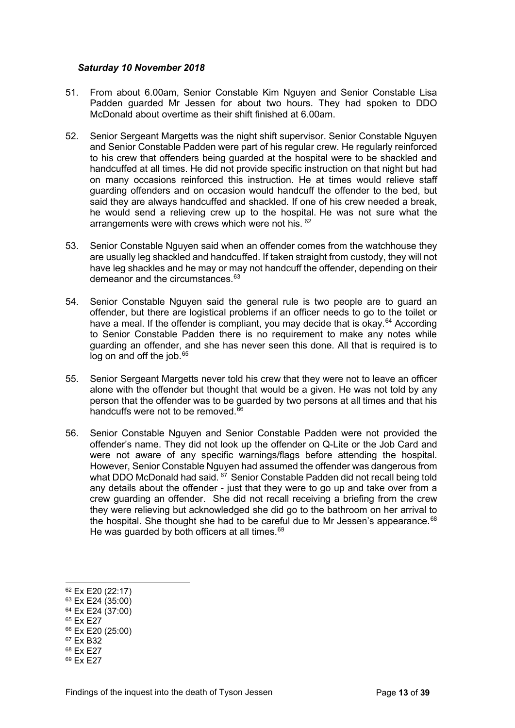#### <span id="page-12-0"></span>*Saturday 10 November 2018*

- 51. From about 6.00am, Senior Constable Kim Nguyen and Senior Constable Lisa Padden guarded Mr Jessen for about two hours. They had spoken to DDO McDonald about overtime as their shift finished at 6.00am.
- 52. Senior Sergeant Margetts was the night shift supervisor. Senior Constable Nguyen and Senior Constable Padden were part of his regular crew. He regularly reinforced to his crew that offenders being guarded at the hospital were to be shackled and handcuffed at all times. He did not provide specific instruction on that night but had on many occasions reinforced this instruction. He at times would relieve staff guarding offenders and on occasion would handcuff the offender to the bed, but said they are always handcuffed and shackled. If one of his crew needed a break, he would send a relieving crew up to the hospital. He was not sure what the arrangements were with crews which were not his. <sup>[62](#page-12-1)</sup>
- 53. Senior Constable Nguyen said when an offender comes from the watchhouse they are usually leg shackled and handcuffed. If taken straight from custody, they will not have leg shackles and he may or may not handcuff the offender, depending on their demeanor and the circumstances.<sup>[63](#page-12-2)</sup>
- 54. Senior Constable Nguyen said the general rule is two people are to guard an offender, but there are logistical problems if an officer needs to go to the toilet or have a meal. If the offender is compliant, you may decide that is okay.<sup>[64](#page-12-3)</sup> According to Senior Constable Padden there is no requirement to make any notes while guarding an offender, and she has never seen this done. All that is required is to log on and off the job.<sup>[65](#page-12-4)</sup>
- 55. Senior Sergeant Margetts never told his crew that they were not to leave an officer alone with the offender but thought that would be a given. He was not told by any person that the offender was to be guarded by two persons at all times and that his handcuffs were not to be removed. $66$
- 56. Senior Constable Nguyen and Senior Constable Padden were not provided the offender's name. They did not look up the offender on Q-Lite or the Job Card and were not aware of any specific warnings/flags before attending the hospital. However, Senior Constable Nguyen had assumed the offender was dangerous from what DDO McDonald had said. <sup>[67](#page-12-6)</sup> Senior Constable Padden did not recall being told any details about the offender - just that they were to go up and take over from a crew guarding an offender. She did not recall receiving a briefing from the crew they were relieving but acknowledged she did go to the bathroom on her arrival to the hospital. She thought she had to be careful due to Mr Jessen's appearance.<sup>[68](#page-12-7)</sup> He was guarded by both officers at all times.<sup>[69](#page-12-8)</sup>

- <span id="page-12-2"></span><sup>63</sup> Ex E24 (35:00)
- <span id="page-12-3"></span><sup>64</sup> Ex E24 (37:00) <sup>65</sup> Ex E27
- <span id="page-12-5"></span><span id="page-12-4"></span><sup>66</sup> Ex E20 (25:00)
- <span id="page-12-6"></span><sup>67</sup> Ex B32
- <span id="page-12-7"></span><sup>68</sup> Ex E27
- <span id="page-12-8"></span><sup>69</sup> Ex E27

<span id="page-12-1"></span><sup>62</sup> Ex E20 (22:17)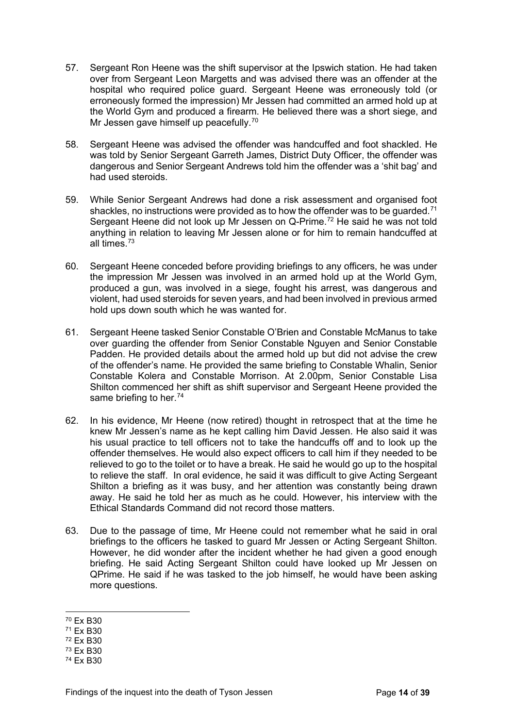- 57. Sergeant Ron Heene was the shift supervisor at the Ipswich station. He had taken over from Sergeant Leon Margetts and was advised there was an offender at the hospital who required police guard. Sergeant Heene was erroneously told (or erroneously formed the impression) Mr Jessen had committed an armed hold up at the World Gym and produced a firearm. He believed there was a short siege, and Mr Jessen gave himself up peacefully.<sup>[70](#page-13-0)</sup>
- 58. Sergeant Heene was advised the offender was handcuffed and foot shackled. He was told by Senior Sergeant Garreth James, District Duty Officer, the offender was dangerous and Senior Sergeant Andrews told him the offender was a 'shit bag' and had used steroids.
- 59. While Senior Sergeant Andrews had done a risk assessment and organised foot shackles, no instructions were provided as to how the offender was to be quarded.<sup>[71](#page-13-1)</sup> Sergeant Heene did not look up Mr Jessen on Q-Prime.<sup>[72](#page-13-2)</sup> He said he was not told anything in relation to leaving Mr Jessen alone or for him to remain handcuffed at all times $^{73}$  $^{73}$  $^{73}$
- 60. Sergeant Heene conceded before providing briefings to any officers, he was under the impression Mr Jessen was involved in an armed hold up at the World Gym, produced a gun, was involved in a siege, fought his arrest, was dangerous and violent, had used steroids for seven years, and had been involved in previous armed hold ups down south which he was wanted for.
- 61. Sergeant Heene tasked Senior Constable O'Brien and Constable McManus to take over guarding the offender from Senior Constable Nguyen and Senior Constable Padden. He provided details about the armed hold up but did not advise the crew of the offender's name. He provided the same briefing to Constable Whalin, Senior Constable Kolera and Constable Morrison. At 2.00pm, Senior Constable Lisa Shilton commenced her shift as shift supervisor and Sergeant Heene provided the same briefing to her.<sup>[74](#page-13-4)</sup>
- 62. In his evidence, Mr Heene (now retired) thought in retrospect that at the time he knew Mr Jessen's name as he kept calling him David Jessen. He also said it was his usual practice to tell officers not to take the handcuffs off and to look up the offender themselves. He would also expect officers to call him if they needed to be relieved to go to the toilet or to have a break. He said he would go up to the hospital to relieve the staff. In oral evidence, he said it was difficult to give Acting Sergeant Shilton a briefing as it was busy, and her attention was constantly being drawn away. He said he told her as much as he could. However, his interview with the Ethical Standards Command did not record those matters.
- 63. Due to the passage of time, Mr Heene could not remember what he said in oral briefings to the officers he tasked to guard Mr Jessen or Acting Sergeant Shilton. However, he did wonder after the incident whether he had given a good enough briefing. He said Acting Sergeant Shilton could have looked up Mr Jessen on QPrime. He said if he was tasked to the job himself, he would have been asking more questions.

<span id="page-13-0"></span><sup>70</sup> Ex B30

<span id="page-13-1"></span><sup>71</sup> Ex B30

<span id="page-13-2"></span><sup>72</sup> Ex B30

<span id="page-13-3"></span><sup>73</sup> Ex B30

<span id="page-13-4"></span><sup>74</sup> Ex B30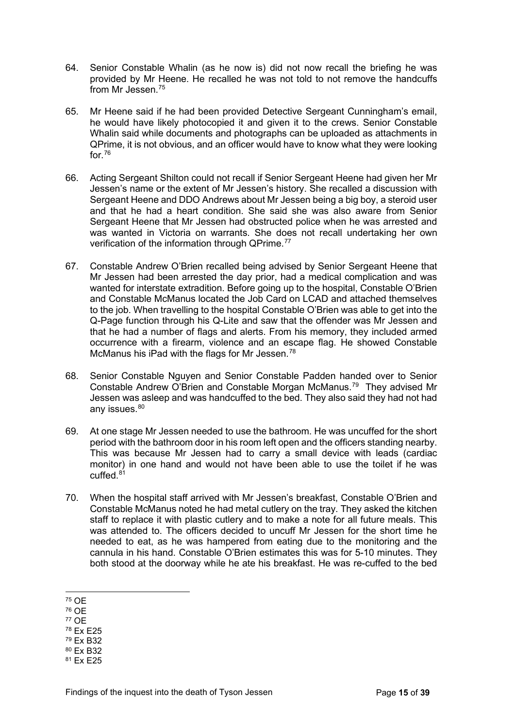- 64. Senior Constable Whalin (as he now is) did not now recall the briefing he was provided by Mr Heene. He recalled he was not told to not remove the handcuffs from Mr Jessen.<sup>[75](#page-14-0)</sup>
- 65. Mr Heene said if he had been provided Detective Sergeant Cunningham's email, he would have likely photocopied it and given it to the crews. Senior Constable Whalin said while documents and photographs can be uploaded as attachments in QPrime, it is not obvious, and an officer would have to know what they were looking for.[76](#page-14-1)
- 66. Acting Sergeant Shilton could not recall if Senior Sergeant Heene had given her Mr Jessen's name or the extent of Mr Jessen's history. She recalled a discussion with Sergeant Heene and DDO Andrews about Mr Jessen being a big boy, a steroid user and that he had a heart condition. She said she was also aware from Senior Sergeant Heene that Mr Jessen had obstructed police when he was arrested and was wanted in Victoria on warrants. She does not recall undertaking her own verification of the information through QPrime.<sup>[77](#page-14-2)</sup>
- 67. Constable Andrew O'Brien recalled being advised by Senior Sergeant Heene that Mr Jessen had been arrested the day prior, had a medical complication and was wanted for interstate extradition. Before going up to the hospital, Constable O'Brien and Constable McManus located the Job Card on LCAD and attached themselves to the job. When travelling to the hospital Constable O'Brien was able to get into the Q-Page function through his Q-Lite and saw that the offender was Mr Jessen and that he had a number of flags and alerts. From his memory, they included armed occurrence with a firearm, violence and an escape flag. He showed Constable McManus his iPad with the flags for Mr Jessen.<sup>[78](#page-14-3)</sup>
- 68. Senior Constable Nguyen and Senior Constable Padden handed over to Senior Constable Andrew O'Brien and Constable Morgan McManus.[79](#page-14-4) They advised Mr Jessen was asleep and was handcuffed to the bed. They also said they had not had any issues.<sup>[80](#page-14-5)</sup>
- 69. At one stage Mr Jessen needed to use the bathroom. He was uncuffed for the short period with the bathroom door in his room left open and the officers standing nearby. This was because Mr Jessen had to carry a small device with leads (cardiac monitor) in one hand and would not have been able to use the toilet if he was cuffed $8<sup>1</sup>$
- 70. When the hospital staff arrived with Mr Jessen's breakfast, Constable O'Brien and Constable McManus noted he had metal cutlery on the tray. They asked the kitchen staff to replace it with plastic cutlery and to make a note for all future meals. This was attended to. The officers decided to uncuff Mr Jessen for the short time he needed to eat, as he was hampered from eating due to the monitoring and the cannula in his hand. Constable O'Brien estimates this was for 5-10 minutes. They both stood at the doorway while he ate his breakfast. He was re-cuffed to the bed

- <span id="page-14-2"></span><sup>77</sup> OE
- <span id="page-14-3"></span><sup>78</sup> Ex E25

<span id="page-14-6"></span><span id="page-14-5"></span><sup>80</sup> Ex B32 <sup>81</sup> Ex E25

<span id="page-14-0"></span><sup>75</sup> OE

<span id="page-14-1"></span><sup>76</sup> OE

<span id="page-14-4"></span><sup>79</sup> Ex B32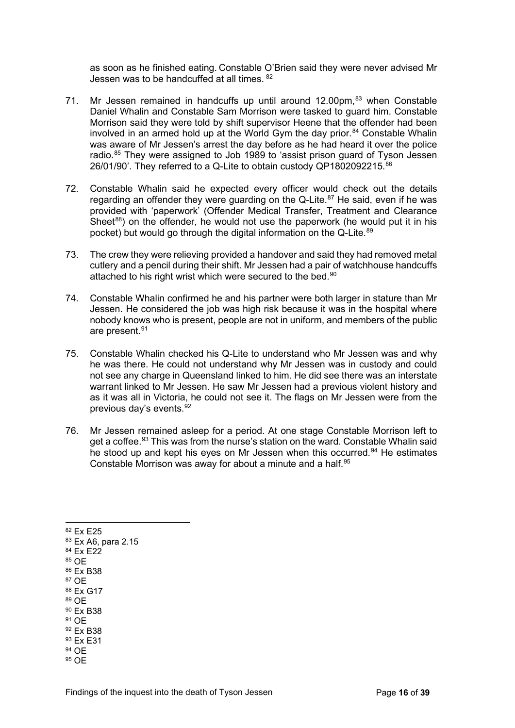as soon as he finished eating. Constable O'Brien said they were never advised Mr Jessen was to be handcuffed at all times. [82](#page-15-0)

- 71. Mr Jessen remained in handcuffs up until around 12.00pm, [83](#page-15-1) when Constable Daniel Whalin and Constable Sam Morrison were tasked to guard him. Constable Morrison said they were told by shift supervisor Heene that the offender had been involved in an armed hold up at the World Gym the day prior. $84$  Constable Whalin was aware of Mr Jessen's arrest the day before as he had heard it over the police radio.<sup>[85](#page-15-3)</sup> They were assigned to Job 1989 to 'assist prison guard of Tyson Jessen 26/01/90'. They referred to a Q-Lite to obtain custody QP1802092215.[86](#page-15-4)
- 72. Constable Whalin said he expected every officer would check out the details regarding an offender they were guarding on the Q-Lite. [87](#page-15-5) He said, even if he was provided with 'paperwork' (Offender Medical Transfer, Treatment and Clearance Sheet<sup>[88](#page-15-6)</sup>) on the offender, he would not use the paperwork (he would put it in his pocket) but would go through the digital information on the Q-Lite. [89](#page-15-7)
- 73. The crew they were relieving provided a handover and said they had removed metal cutlery and a pencil during their shift. Mr Jessen had a pair of watchhouse handcuffs attached to his right wrist which were secured to the bed.<sup>90</sup>
- 74. Constable Whalin confirmed he and his partner were both larger in stature than Mr Jessen. He considered the job was high risk because it was in the hospital where nobody knows who is present, people are not in uniform, and members of the public are present.<sup>[91](#page-15-9)</sup>
- 75. Constable Whalin checked his Q-Lite to understand who Mr Jessen was and why he was there. He could not understand why Mr Jessen was in custody and could not see any charge in Queensland linked to him. He did see there was an interstate warrant linked to Mr Jessen. He saw Mr Jessen had a previous violent history and as it was all in Victoria, he could not see it. The flags on Mr Jessen were from the previous day's events.[92](#page-15-10)
- 76. Mr Jessen remained asleep for a period. At one stage Constable Morrison left to get a coffee.<sup>[93](#page-15-11)</sup> This was from the nurse's station on the ward. Constable Whalin said he stood up and kept his eyes on Mr Jessen when this occurred.<sup>[94](#page-15-12)</sup> He estimates Constable Morrison was away for about a minute and a half.<sup>[95](#page-15-13)</sup>
- <span id="page-15-13"></span><span id="page-15-12"></span><span id="page-15-11"></span><span id="page-15-10"></span><span id="page-15-9"></span><span id="page-15-8"></span><span id="page-15-7"></span><span id="page-15-6"></span><span id="page-15-5"></span><span id="page-15-4"></span><span id="page-15-3"></span><span id="page-15-2"></span><span id="page-15-1"></span><span id="page-15-0"></span><sup>83</sup> Ex A6, para 2.15 <sup>84</sup> Ex E22 <sup>85</sup> OE <sup>86</sup> Ex B38 87 OF <sup>88</sup> Ex G17 <sup>89</sup> OE <sup>90</sup> Ex B38 91 OF <sup>92</sup> Ex B38 <sup>93</sup> Ex E31 <sup>94</sup> OE 95 OF

<sup>82</sup> Ex E25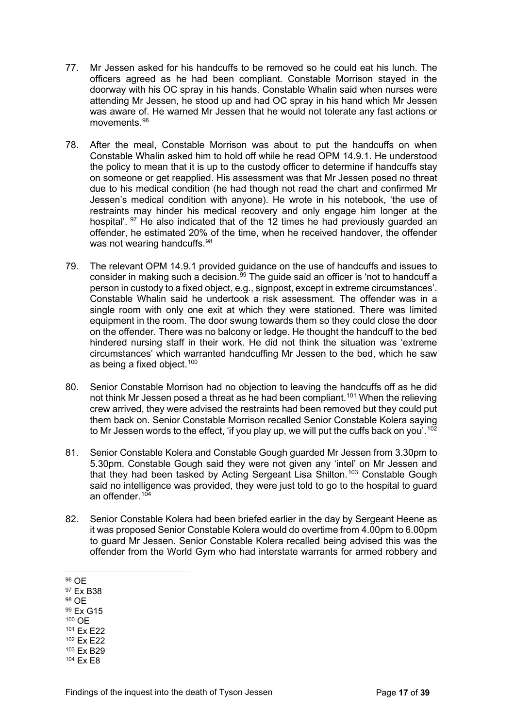- 77. Mr Jessen asked for his handcuffs to be removed so he could eat his lunch. The officers agreed as he had been compliant. Constable Morrison stayed in the doorway with his OC spray in his hands. Constable Whalin said when nurses were attending Mr Jessen, he stood up and had OC spray in his hand which Mr Jessen was aware of. He warned Mr Jessen that he would not tolerate any fast actions or movements.[96](#page-16-0)
- 78. After the meal, Constable Morrison was about to put the handcuffs on when Constable Whalin asked him to hold off while he read OPM 14.9.1. He understood the policy to mean that it is up to the custody officer to determine if handcuffs stay on someone or get reapplied. His assessment was that Mr Jessen posed no threat due to his medical condition (he had though not read the chart and confirmed Mr Jessen's medical condition with anyone). He wrote in his notebook, 'the use of restraints may hinder his medical recovery and only engage him longer at the hospital'. <sup>[97](#page-16-1)</sup> He also indicated that of the 12 times he had previously guarded an offender, he estimated 20% of the time, when he received handover, the offender was not wearing handcuffs.<sup>[98](#page-16-2)</sup>
- 79. The relevant OPM 14.9.1 provided guidance on the use of handcuffs and issues to consider in making such a decision.<sup>[99](#page-16-3)</sup> The guide said an officer is 'not to handcuff a person in custody to a fixed object, e.g., signpost, except in extreme circumstances'. Constable Whalin said he undertook a risk assessment. The offender was in a single room with only one exit at which they were stationed. There was limited equipment in the room. The door swung towards them so they could close the door on the offender. There was no balcony or ledge. He thought the handcuff to the bed hindered nursing staff in their work. He did not think the situation was 'extreme circumstances' which warranted handcuffing Mr Jessen to the bed, which he saw as being a fixed object. $100$
- 80. Senior Constable Morrison had no objection to leaving the handcuffs off as he did not think Mr Jessen posed a threat as he had been compliant.<sup>[101](#page-16-5)</sup> When the relieving crew arrived, they were advised the restraints had been removed but they could put them back on. Senior Constable Morrison recalled Senior Constable Kolera saying to Mr Jessen words to the effect, 'if you play up, we will put the cuffs back on you'.<sup>[102](#page-16-6)</sup>
- 81. Senior Constable Kolera and Constable Gough guarded Mr Jessen from 3.30pm to 5.30pm. Constable Gough said they were not given any 'intel' on Mr Jessen and that they had been tasked by Acting Sergeant Lisa Shilton.<sup>[103](#page-16-7)</sup> Constable Gough said no intelligence was provided, they were just told to go to the hospital to guard an offender.<sup>104</sup>
- 82. Senior Constable Kolera had been briefed earlier in the day by Sergeant Heene as it was proposed Senior Constable Kolera would do overtime from 4.00pm to 6.00pm to guard Mr Jessen. Senior Constable Kolera recalled being advised this was the offender from the World Gym who had interstate warrants for armed robbery and
- <span id="page-16-0"></span><sup>96</sup> OE
- <span id="page-16-1"></span><sup>97</sup> Ex B38
- <span id="page-16-2"></span><sup>98</sup> OE
- <span id="page-16-3"></span><sup>99</sup> Ex G15
- <span id="page-16-4"></span><sup>100</sup> OE
- <span id="page-16-5"></span><sup>101</sup> Ex E22
- <span id="page-16-6"></span><sup>102</sup> Ex E22
- <span id="page-16-7"></span><sup>103</sup> Ex B29
- <span id="page-16-8"></span><sup>104</sup> Ex E8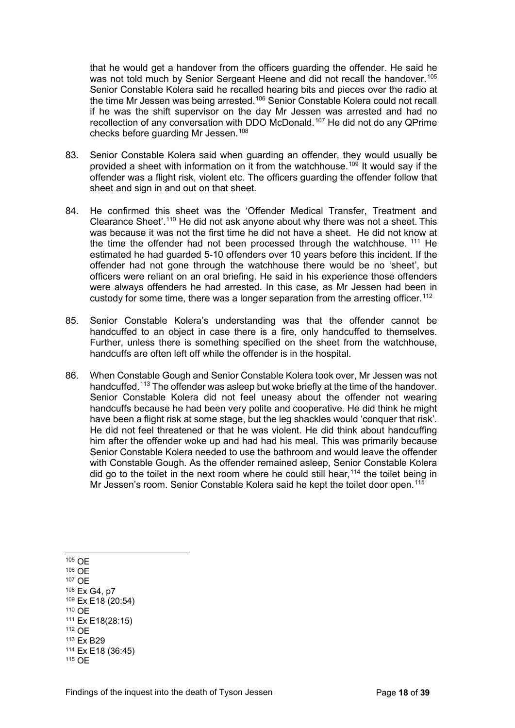that he would get a handover from the officers guarding the offender. He said he was not told much by Senior Sergeant Heene and did not recall the handover.<sup>[105](#page-17-0)</sup> Senior Constable Kolera said he recalled hearing bits and pieces over the radio at the time Mr Jessen was being arrested.[106](#page-17-1) Senior Constable Kolera could not recall if he was the shift supervisor on the day Mr Jessen was arrested and had no recollection of any conversation with DDO McDonald.[107](#page-17-2) He did not do any QPrime checks before guarding Mr Jessen.[108](#page-17-3)

- 83. Senior Constable Kolera said when guarding an offender, they would usually be provided a sheet with information on it from the watchhouse.<sup>[109](#page-17-4)</sup> It would say if the offender was a flight risk, violent etc. The officers guarding the offender follow that sheet and sign in and out on that sheet.
- 84. He confirmed this sheet was the 'Offender Medical Transfer, Treatment and Clearance Sheet'.[110](#page-17-5) He did not ask anyone about why there was not a sheet. This was because it was not the first time he did not have a sheet. He did not know at the time the offender had not been processed through the watchhouse. <sup>[111](#page-17-6)</sup> He estimated he had guarded 5-10 offenders over 10 years before this incident. If the offender had not gone through the watchhouse there would be no 'sheet', but officers were reliant on an oral briefing. He said in his experience those offenders were always offenders he had arrested. In this case, as Mr Jessen had been in custody for some time, there was a longer separation from the arresting officer.<sup>[112](#page-17-7)</sup>
- 85. Senior Constable Kolera's understanding was that the offender cannot be handcuffed to an object in case there is a fire, only handcuffed to themselves. Further, unless there is something specified on the sheet from the watchhouse, handcuffs are often left off while the offender is in the hospital.
- 86. When Constable Gough and Senior Constable Kolera took over, Mr Jessen was not handcuffed.[113](#page-17-8) The offender was asleep but woke briefly at the time of the handover. Senior Constable Kolera did not feel uneasy about the offender not wearing handcuffs because he had been very polite and cooperative. He did think he might have been a flight risk at some stage, but the leg shackles would 'conquer that risk'. He did not feel threatened or that he was violent. He did think about handcuffing him after the offender woke up and had had his meal. This was primarily because Senior Constable Kolera needed to use the bathroom and would leave the offender with Constable Gough. As the offender remained asleep, Senior Constable Kolera did go to the toilet in the next room where he could still hear,  $114$  the toilet being in Mr Jessen's room. Senior Constable Kolera said he kept the toilet door open.<sup>[115](#page-17-10)</sup>

<span id="page-17-10"></span><span id="page-17-9"></span><span id="page-17-8"></span><span id="page-17-7"></span><span id="page-17-6"></span><span id="page-17-5"></span><span id="page-17-4"></span><span id="page-17-3"></span><span id="page-17-2"></span><span id="page-17-1"></span><span id="page-17-0"></span><sup>105</sup> OE <sup>106</sup> OE <sup>107</sup> OE <sup>108</sup> Ex G4, p7 <sup>109</sup> Ex E18 (20:54) <sup>110</sup> OE <sup>111</sup> Ex E18(28:15) <sup>112</sup> OE <sup>113</sup> Ex B29 <sup>114</sup> Ex E18 (36:45) <sup>115</sup> OE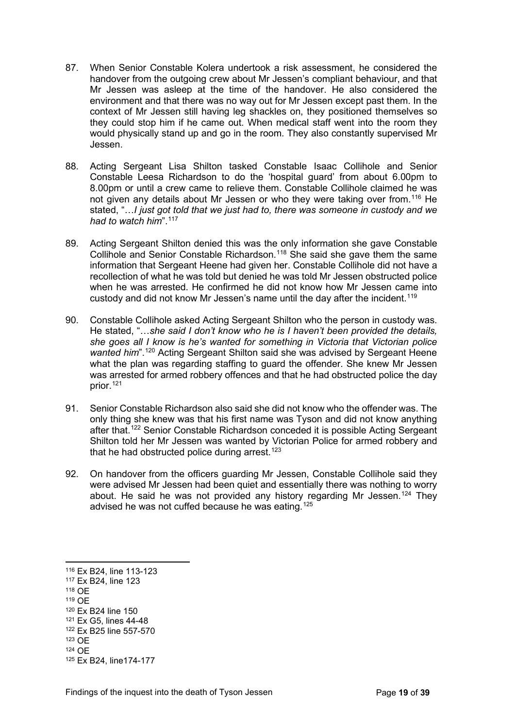- 87. When Senior Constable Kolera undertook a risk assessment, he considered the handover from the outgoing crew about Mr Jessen's compliant behaviour, and that Mr Jessen was asleep at the time of the handover. He also considered the environment and that there was no way out for Mr Jessen except past them. In the context of Mr Jessen still having leg shackles on, they positioned themselves so they could stop him if he came out. When medical staff went into the room they would physically stand up and go in the room. They also constantly supervised Mr Jessen.
- 88. Acting Sergeant Lisa Shilton tasked Constable Isaac Collihole and Senior Constable Leesa Richardson to do the 'hospital guard' from about 6.00pm to 8.00pm or until a crew came to relieve them. Constable Collihole claimed he was not given any details about Mr Jessen or who they were taking over from.<sup>[116](#page-18-0)</sup> He stated, "…*I just got told that we just had to, there was someone in custody and we had to watch him*".[117](#page-18-1)
- 89. Acting Sergeant Shilton denied this was the only information she gave Constable Collihole and Senior Constable Richardson.[118](#page-18-2) She said she gave them the same information that Sergeant Heene had given her. Constable Collihole did not have a recollection of what he was told but denied he was told Mr Jessen obstructed police when he was arrested. He confirmed he did not know how Mr Jessen came into custody and did not know Mr Jessen's name until the day after the incident.<sup>[119](#page-18-3)</sup>
- 90. Constable Collihole asked Acting Sergeant Shilton who the person in custody was. He stated, "…*she said I don't know who he is I haven't been provided the details, she goes all I know is he's wanted for something in Victoria that Victorian police wanted him*".<sup>[120](#page-18-4)</sup> Acting Sergeant Shilton said she was advised by Sergeant Heene what the plan was regarding staffing to guard the offender. She knew Mr Jessen was arrested for armed robbery offences and that he had obstructed police the day prior.[121](#page-18-5)
- 91. Senior Constable Richardson also said she did not know who the offender was. The only thing she knew was that his first name was Tyson and did not know anything after that.[122](#page-18-6) Senior Constable Richardson conceded it is possible Acting Sergeant Shilton told her Mr Jessen was wanted by Victorian Police for armed robbery and that he had obstructed police during arrest.<sup>[123](#page-18-7)</sup>
- 92. On handover from the officers guarding Mr Jessen, Constable Collihole said they were advised Mr Jessen had been quiet and essentially there was nothing to worry about. He said he was not provided any history regarding Mr Jessen.<sup>[124](#page-18-8)</sup> They advised he was not cuffed because he was eating.[125](#page-18-9)

<span id="page-18-0"></span><sup>116</sup> Ex B24, line 113-123

<span id="page-18-1"></span><sup>117</sup> Ex B24, line 123

<span id="page-18-2"></span><sup>118</sup> OE

<span id="page-18-3"></span><sup>119</sup> OE

<span id="page-18-4"></span><sup>120</sup> Ex B24 line 150

<span id="page-18-5"></span><sup>121</sup> Ex G5, lines 44-48

<span id="page-18-6"></span><sup>122</sup> Ex B25 line 557-570 <sup>123</sup> OE

<span id="page-18-7"></span><sup>124</sup> OE

<span id="page-18-9"></span><span id="page-18-8"></span><sup>125</sup> Ex B24, line174-177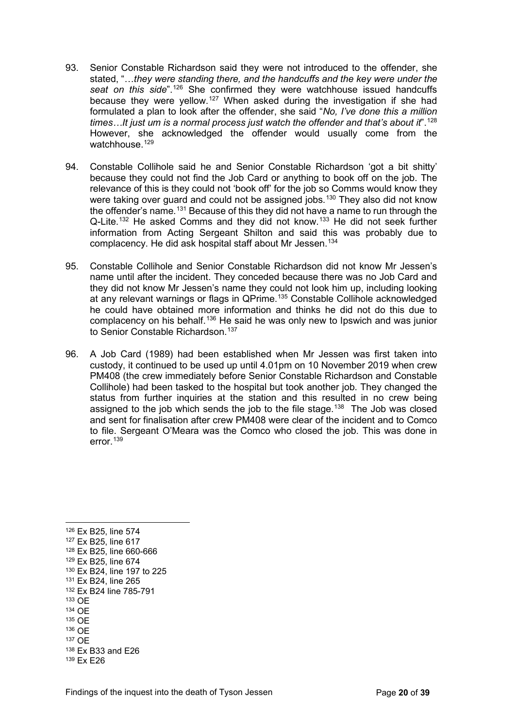- 93. Senior Constable Richardson said they were not introduced to the offender, she stated, "…*they were standing there, and the handcuffs and the key were under the seat on this side*".[126](#page-19-0) She confirmed they were watchhouse issued handcuffs because they were yellow.[127](#page-19-1) When asked during the investigation if she had formulated a plan to look after the offender, she said "*No, I've done this a million times…It just um is a normal process just watch the offender and that's about it*".[128](#page-19-2) However, she acknowledged the offender would usually come from the watchhouse. $129$
- 94. Constable Collihole said he and Senior Constable Richardson 'got a bit shitty' because they could not find the Job Card or anything to book off on the job. The relevance of this is they could not 'book off' for the job so Comms would know they were taking over guard and could not be assigned jobs.<sup>[130](#page-19-4)</sup> They also did not know the offender's name.[131](#page-19-5) Because of this they did not have a name to run through the Q-Lite.<sup>[132](#page-19-6)</sup> He asked Comms and they did not know.<sup>[133](#page-19-7)</sup> He did not seek further information from Acting Sergeant Shilton and said this was probably due to complacency. He did ask hospital staff about Mr Jessen.[134](#page-19-8)
- 95. Constable Collihole and Senior Constable Richardson did not know Mr Jessen's name until after the incident. They conceded because there was no Job Card and they did not know Mr Jessen's name they could not look him up, including looking at any relevant warnings or flags in QPrime.[135](#page-19-9) Constable Collihole acknowledged he could have obtained more information and thinks he did not do this due to complacency on his behalf.<sup>[136](#page-19-10)</sup> He said he was only new to Ipswich and was junior to Senior Constable Richardson.<sup>[137](#page-19-11)</sup>
- 96. A Job Card (1989) had been established when Mr Jessen was first taken into custody, it continued to be used up until 4.01pm on 10 November 2019 when crew PM408 (the crew immediately before Senior Constable Richardson and Constable Collihole) had been tasked to the hospital but took another job. They changed the status from further inquiries at the station and this resulted in no crew being assigned to the job which sends the job to the file stage.<sup>138</sup> The Job was closed and sent for finalisation after crew PM408 were clear of the incident and to Comco to file. Sergeant O'Meara was the Comco who closed the job. This was done in error.[139](#page-19-13)

<span id="page-19-13"></span><span id="page-19-12"></span><span id="page-19-11"></span><span id="page-19-10"></span><span id="page-19-9"></span><span id="page-19-8"></span><span id="page-19-7"></span><span id="page-19-6"></span><span id="page-19-5"></span><span id="page-19-4"></span><span id="page-19-3"></span><span id="page-19-2"></span><span id="page-19-1"></span><span id="page-19-0"></span><sup>126</sup> Ex B25, line 574 <sup>127</sup> Ex B25, line 617 <sup>128</sup> Ex B25, line 660-666 <sup>129</sup> Ex B25, line 674 <sup>130</sup> Ex B24, line 197 to 225 <sup>131</sup> Ex B24, line 265 <sup>132</sup> Ex B24 line 785-791 <sup>133</sup> OE <sup>134</sup> OE <sup>135</sup> OE <sup>136</sup> OE <sup>137</sup> OE <sup>138</sup> Ex B33 and E26 <sup>139</sup> Ex E26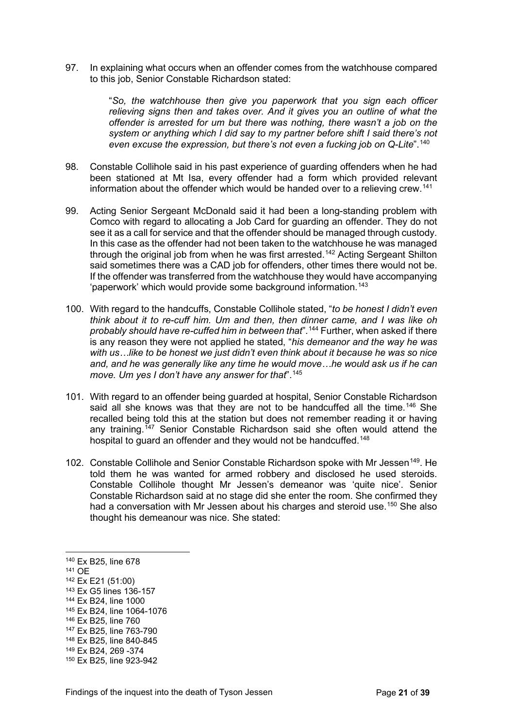97. In explaining what occurs when an offender comes from the watchhouse compared to this job, Senior Constable Richardson stated:

> "*So, the watchhouse then give you paperwork that you sign each officer relieving signs then and takes over. And it gives you an outline of what the offender is arrested for um but there was nothing, there wasn't a job on the system or anything which I did say to my partner before shift I said there's not even excuse the expression, but there's not even a fucking job on Q-Lite*".[140](#page-20-0)

- 98. Constable Collihole said in his past experience of guarding offenders when he had been stationed at Mt Isa, every offender had a form which provided relevant information about the offender which would be handed over to a relieving crew.[141](#page-20-1)
- 99. Acting Senior Sergeant McDonald said it had been a long-standing problem with Comco with regard to allocating a Job Card for guarding an offender. They do not see it as a call for service and that the offender should be managed through custody. In this case as the offender had not been taken to the watchhouse he was managed through the original job from when he was first arrested.<sup>[142](#page-20-2)</sup> Acting Sergeant Shilton said sometimes there was a CAD job for offenders, other times there would not be. If the offender was transferred from the watchhouse they would have accompanying 'paperwork' which would provide some background information.<sup>[143](#page-20-3)</sup>
- 100. With regard to the handcuffs, Constable Collihole stated, "*to be honest I didn't even think about it to re-cuff him. Um and then, then dinner came, and I was like oh probably should have re-cuffed him in between that*".[144](#page-20-4) Further, when asked if there is any reason they were not applied he stated, "*his demeanor and the way he was with us…like to be honest we just didn't even think about it because he was so nice and, and he was generally like any time he would move…he would ask us if he can move. Um yes I don't have any answer for that*".[145](#page-20-5)
- 101. With regard to an offender being guarded at hospital, Senior Constable Richardson said all she knows was that they are not to be handcuffed all the time.<sup>[146](#page-20-6)</sup> She recalled being told this at the station but does not remember reading it or having any training.<sup>[147](#page-20-7)</sup> Senior Constable Richardson said she often would attend the hospital to guard an offender and they would not be handcuffed.<sup>[148](#page-20-8)</sup>
- 102. Constable Collihole and Senior Constable Richardson spoke with Mr Jessen<sup>[149](#page-20-9)</sup>. He told them he was wanted for armed robbery and disclosed he used steroids. Constable Collihole thought Mr Jessen's demeanor was 'quite nice'. Senior Constable Richardson said at no stage did she enter the room. She confirmed they had a conversation with Mr Jessen about his charges and steroid use.<sup>[150](#page-20-10)</sup> She also thought his demeanour was nice. She stated:

- <span id="page-20-5"></span><sup>145</sup> Ex B24, line 1064-1076
- <span id="page-20-6"></span><sup>146</sup> Ex B25, line 760

<span id="page-20-8"></span><sup>148</sup> Ex B25, line 840-845

<span id="page-20-0"></span><sup>140</sup> Ex B25, line 678

<span id="page-20-1"></span><sup>141</sup> OE

<span id="page-20-2"></span><sup>142</sup> Ex E21 (51:00)

<span id="page-20-3"></span><sup>143</sup> Ex G5 lines 136-157

<span id="page-20-4"></span><sup>144</sup> Ex B24, line 1000

<span id="page-20-7"></span><sup>147</sup> Ex B25, line 763-790

<span id="page-20-9"></span><sup>149</sup> Ex B24, 269 -374

<span id="page-20-10"></span><sup>150</sup> Ex B25, line 923-942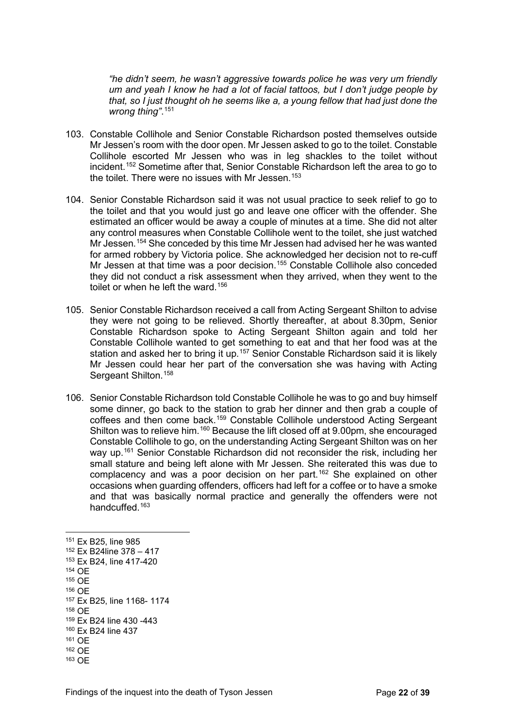*"he didn't seem, he wasn't aggressive towards police he was very um friendly um and yeah I know he had a lot of facial tattoos, but I don't judge people by that, so I just thought oh he seems like a, a young fellow that had just done the wrong thing"*. [151](#page-21-0)

- 103. Constable Collihole and Senior Constable Richardson posted themselves outside Mr Jessen's room with the door open. Mr Jessen asked to go to the toilet. Constable Collihole escorted Mr Jessen who was in leg shackles to the toilet without incident.[152](#page-21-1) Sometime after that, Senior Constable Richardson left the area to go to the toilet. There were no issues with Mr Jessen.<sup>[153](#page-21-2)</sup>
- 104. Senior Constable Richardson said it was not usual practice to seek relief to go to the toilet and that you would just go and leave one officer with the offender. She estimated an officer would be away a couple of minutes at a time. She did not alter any control measures when Constable Collihole went to the toilet, she just watched Mr Jessen.[154](#page-21-3) She conceded by this time Mr Jessen had advised her he was wanted for armed robbery by Victoria police. She acknowledged her decision not to re-cuff Mr Jessen at that time was a poor decision.<sup>[155](#page-21-4)</sup> Constable Collihole also conceded they did not conduct a risk assessment when they arrived, when they went to the toilet or when he left the ward.<sup>[156](#page-21-5)</sup>
- 105. Senior Constable Richardson received a call from Acting Sergeant Shilton to advise they were not going to be relieved. Shortly thereafter, at about 8.30pm, Senior Constable Richardson spoke to Acting Sergeant Shilton again and told her Constable Collihole wanted to get something to eat and that her food was at the station and asked her to bring it up.<sup>[157](#page-21-6)</sup> Senior Constable Richardson said it is likely Mr Jessen could hear her part of the conversation she was having with Acting Sergeant Shilton.<sup>[158](#page-21-7)</sup>
- 106. Senior Constable Richardson told Constable Collihole he was to go and buy himself some dinner, go back to the station to grab her dinner and then grab a couple of coffees and then come back.[159](#page-21-8) Constable Collihole understood Acting Sergeant Shilton was to relieve him.[160](#page-21-9) Because the lift closed off at 9.00pm, she encouraged Constable Collihole to go, on the understanding Acting Sergeant Shilton was on her way up.<sup>[161](#page-21-10)</sup> Senior Constable Richardson did not reconsider the risk, including her small stature and being left alone with Mr Jessen. She reiterated this was due to complacency and was a poor decision on her part.<sup>[162](#page-21-11)</sup> She explained on other occasions when guarding offenders, officers had left for a coffee or to have a smoke and that was basically normal practice and generally the offenders were not handcuffed.[163](#page-21-12)

<span id="page-21-12"></span><span id="page-21-11"></span><span id="page-21-10"></span><span id="page-21-9"></span><span id="page-21-8"></span><span id="page-21-7"></span><span id="page-21-6"></span><span id="page-21-5"></span><span id="page-21-4"></span><span id="page-21-3"></span><span id="page-21-2"></span><span id="page-21-1"></span><span id="page-21-0"></span><sup>151</sup> Ex B25, line 985 <sup>152</sup> Ex B24line 378 – 417 <sup>153</sup> Ex B24, line 417-420 <sup>154</sup> OE <sup>155</sup> OE <sup>156</sup> OE <sup>157</sup> Ex B25, line 1168- 1174 <sup>158</sup> OE <sup>159</sup> Ex B24 line 430 -443 <sup>160</sup> Ex B24 line 437 <sup>161</sup> OE <sup>162</sup> OE <sup>163</sup> OE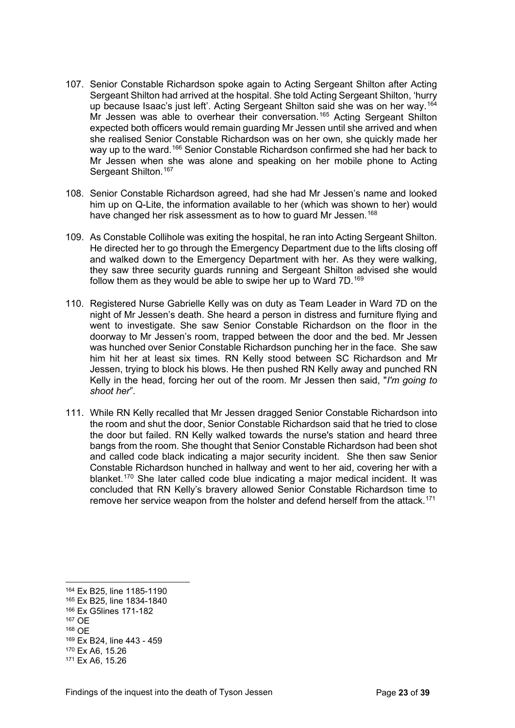- 107. Senior Constable Richardson spoke again to Acting Sergeant Shilton after Acting Sergeant Shilton had arrived at the hospital. She told Acting Sergeant Shilton, 'hurry up because Isaac's just left'. Acting Sergeant Shilton said she was on her way.[164](#page-22-0) Mr Jessen was able to overhear their conversation.<sup>[165](#page-22-1)</sup> Acting Sergeant Shilton expected both officers would remain guarding Mr Jessen until she arrived and when she realised Senior Constable Richardson was on her own, she quickly made her way up to the ward.<sup>[166](#page-22-2)</sup> Senior Constable Richardson confirmed she had her back to Mr Jessen when she was alone and speaking on her mobile phone to Acting Sergeant Shilton.<sup>[167](#page-22-3)</sup>
- 108. Senior Constable Richardson agreed, had she had Mr Jessen's name and looked him up on Q-Lite, the information available to her (which was shown to her) would have changed her risk assessment as to how to guard Mr Jessen.<sup>[168](#page-22-4)</sup>
- 109. As Constable Collihole was exiting the hospital, he ran into Acting Sergeant Shilton. He directed her to go through the Emergency Department due to the lifts closing off and walked down to the Emergency Department with her. As they were walking, they saw three security guards running and Sergeant Shilton advised she would follow them as they would be able to swipe her up to Ward 7D.<sup>[169](#page-22-5)</sup>
- 110. Registered Nurse Gabrielle Kelly was on duty as Team Leader in Ward 7D on the night of Mr Jessen's death. She heard a person in distress and furniture flying and went to investigate. She saw Senior Constable Richardson on the floor in the doorway to Mr Jessen's room, trapped between the door and the bed. Mr Jessen was hunched over Senior Constable Richardson punching her in the face. She saw him hit her at least six times. RN Kelly stood between SC Richardson and Mr Jessen, trying to block his blows. He then pushed RN Kelly away and punched RN Kelly in the head, forcing her out of the room. Mr Jessen then said, "*I'm going to shoot her*".
- 111. While RN Kelly recalled that Mr Jessen dragged Senior Constable Richardson into the room and shut the door, Senior Constable Richardson said that he tried to close the door but failed. RN Kelly walked towards the nurse's station and heard three bangs from the room. She thought that Senior Constable Richardson had been shot and called code black indicating a major security incident. She then saw Senior Constable Richardson hunched in hallway and went to her aid, covering her with a blanket.[170](#page-22-6) She later called code blue indicating a major medical incident. It was concluded that RN Kelly's bravery allowed Senior Constable Richardson time to remove her service weapon from the holster and defend herself from the attack.<sup>[171](#page-22-7)</sup>

<span id="page-22-0"></span><sup>164</sup> Ex B25, line 1185-1190

<span id="page-22-1"></span><sup>165</sup> Ex B25, line 1834-1840

<span id="page-22-2"></span><sup>166</sup> Ex G5lines 171-182

<span id="page-22-3"></span><sup>167</sup> OE

<span id="page-22-4"></span><sup>168</sup> OE

<span id="page-22-5"></span><sup>169</sup> Ex B24, line 443 - 459

<span id="page-22-6"></span><sup>170</sup> Ex A6, 15.26

<span id="page-22-7"></span><sup>171</sup> Ex A6, 15.26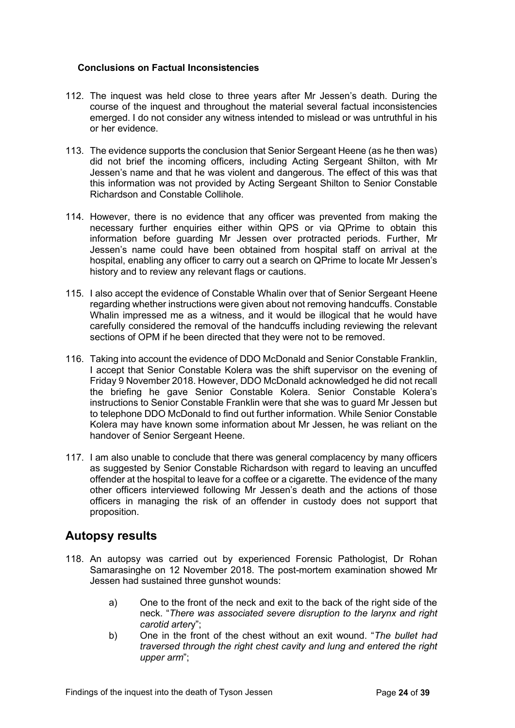#### **Conclusions on Factual Inconsistencies**

- 112. The inquest was held close to three years after Mr Jessen's death. During the course of the inquest and throughout the material several factual inconsistencies emerged. I do not consider any witness intended to mislead or was untruthful in his or her evidence.
- 113. The evidence supports the conclusion that Senior Sergeant Heene (as he then was) did not brief the incoming officers, including Acting Sergeant Shilton, with Mr Jessen's name and that he was violent and dangerous. The effect of this was that this information was not provided by Acting Sergeant Shilton to Senior Constable Richardson and Constable Collihole.
- 114. However, there is no evidence that any officer was prevented from making the necessary further enquiries either within QPS or via QPrime to obtain this information before guarding Mr Jessen over protracted periods. Further, Mr Jessen's name could have been obtained from hospital staff on arrival at the hospital, enabling any officer to carry out a search on QPrime to locate Mr Jessen's history and to review any relevant flags or cautions.
- 115. I also accept the evidence of Constable Whalin over that of Senior Sergeant Heene regarding whether instructions were given about not removing handcuffs. Constable Whalin impressed me as a witness, and it would be illogical that he would have carefully considered the removal of the handcuffs including reviewing the relevant sections of OPM if he been directed that they were not to be removed.
- 116. Taking into account the evidence of DDO McDonald and Senior Constable Franklin, I accept that Senior Constable Kolera was the shift supervisor on the evening of Friday 9 November 2018. However, DDO McDonald acknowledged he did not recall the briefing he gave Senior Constable Kolera. Senior Constable Kolera's instructions to Senior Constable Franklin were that she was to guard Mr Jessen but to telephone DDO McDonald to find out further information. While Senior Constable Kolera may have known some information about Mr Jessen, he was reliant on the handover of Senior Sergeant Heene.
- 117. I am also unable to conclude that there was general complacency by many officers as suggested by Senior Constable Richardson with regard to leaving an uncuffed offender at the hospital to leave for a coffee or a cigarette. The evidence of the many other officers interviewed following Mr Jessen's death and the actions of those officers in managing the risk of an offender in custody does not support that proposition.

## <span id="page-23-0"></span>**Autopsy results**

- 118. An autopsy was carried out by experienced Forensic Pathologist, Dr Rohan Samarasinghe on 12 November 2018. The post-mortem examination showed Mr Jessen had sustained three gunshot wounds:
	- a) One to the front of the neck and exit to the back of the right side of the neck. "*There was associated severe disruption to the larynx and right carotid arter*y";
	- b) One in the front of the chest without an exit wound. "*The bullet had traversed through the right chest cavity and lung and entered the right upper arm*";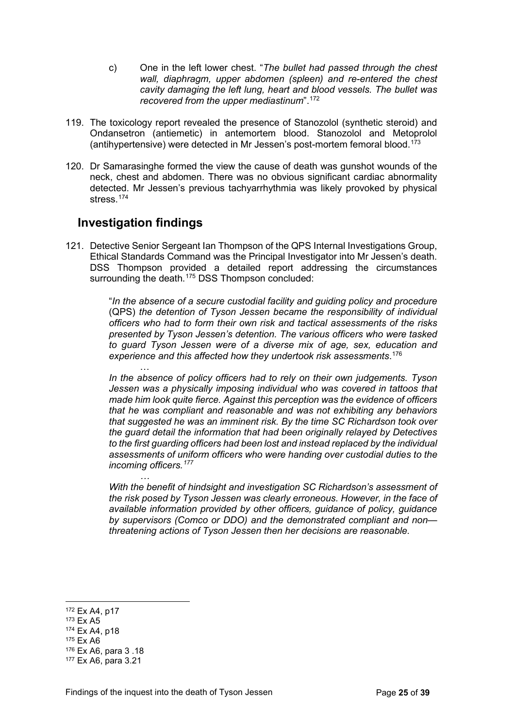- c) One in the left lower chest. "*The bullet had passed through the chest wall, diaphragm, upper abdomen (spleen) and re-entered the chest cavity damaging the left lung, heart and blood vessels. The bullet was recovered from the upper mediastinum*".[172](#page-24-0)
- 119. The toxicology report revealed the presence of Stanozolol (synthetic steroid) and Ondansetron (antiemetic) in antemortem blood. Stanozolol and Metoprolol (antihypertensive) were detected in Mr Jessen's post-mortem femoral blood.<sup>[173](#page-24-1)</sup>
- 120. Dr Samarasinghe formed the view the cause of death was gunshot wounds of the neck, chest and abdomen. There was no obvious significant cardiac abnormality detected. Mr Jessen's previous tachyarrhythmia was likely provoked by physical stress<sup>[174](#page-24-2)</sup>

## **Investigation findings**

121. Detective Senior Sergeant Ian Thompson of the QPS Internal Investigations Group, Ethical Standards Command was the Principal Investigator into Mr Jessen's death. DSS Thompson provided a detailed report addressing the circumstances surrounding the death.<sup>[175](#page-24-3)</sup> DSS Thompson concluded:

> "*In the absence of a secure custodial facility and guiding policy and procedure* (QPS) *the detention of Tyson Jessen became the responsibility of individual officers who had to form their own risk and tactical assessments of the risks presented by Tyson Jessen's detention. The various officers who were tasked to guard Tyson Jessen were of a diverse mix of age, sex, education and experience and this affected how they undertook risk assessments*. [176](#page-24-4)

> … *In the absence of policy officers had to rely on their own judgements. Tyson Jessen was a physically imposing individual who was covered in tattoos that made him look quite fierce. Against this perception was the evidence of officers that he was compliant and reasonable and was not exhibiting any behaviors that suggested he was an imminent risk. By the time SC Richardson took over the guard detail the information that had been originally relayed by Detectives to the first guarding officers had been lost and instead replaced by the individual assessments of uniform officers who were handing over custodial duties to the incoming officers.[177](#page-24-5)*

> *With the benefit of hindsight and investigation SC Richardson's assessment of the risk posed by Tyson Jessen was clearly erroneous. However, in the face of available information provided by other officers, guidance of policy, guidance by supervisors (Comco or DDO) and the demonstrated compliant and non threatening actions of Tyson Jessen then her decisions are reasonable.*

<span id="page-24-0"></span><sup>172</sup> Ex A4, p17

<span id="page-24-1"></span><sup>173</sup> Ex A5

<span id="page-24-2"></span><sup>174</sup> Ex A4, p18

<span id="page-24-3"></span><sup>175</sup> Ex A6

<span id="page-24-4"></span><sup>176</sup> Ex A6, para 3 .18

<span id="page-24-5"></span><sup>177</sup> Ex A6, para 3.21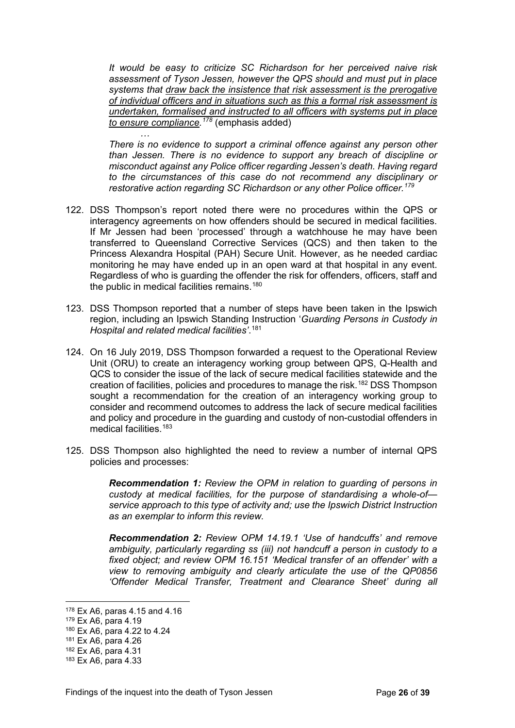*It would be easy to criticize SC Richardson for her perceived naive risk assessment of Tyson Jessen, however the QPS should and must put in place systems that draw back the insistence that risk assessment is the prerogative of individual officers and in situations such as this a formal risk assessment is undertaken, formalised and instructed to all officers with systems put in place to ensure compliance. [178](#page-25-0)* (emphasis added)

*There is no evidence to support a criminal offence against any person other than Jessen. There is no evidence to support any breach of discipline or misconduct against any Police officer regarding Jessen's death. Having regard to the circumstances of this case do not recommend any disciplinary or restorative action regarding SC Richardson or any other Police officer.[179](#page-25-1)*

- 122. DSS Thompson's report noted there were no procedures within the QPS or interagency agreements on how offenders should be secured in medical facilities. If Mr Jessen had been 'processed' through a watchhouse he may have been transferred to Queensland Corrective Services (QCS) and then taken to the Princess Alexandra Hospital (PAH) Secure Unit. However, as he needed cardiac monitoring he may have ended up in an open ward at that hospital in any event. Regardless of who is guarding the offender the risk for offenders, officers, staff and the public in medical facilities remains.<sup>[180](#page-25-2)</sup>
- 123. DSS Thompson reported that a number of steps have been taken in the Ipswich region, including an Ipswich Standing Instruction '*Guarding Persons in Custody in Hospital and related medical facilities'*. [181](#page-25-3)
- 124. On 16 July 2019, DSS Thompson forwarded a request to the Operational Review Unit (ORU) to create an interagency working group between QPS, Q-Health and QCS to consider the issue of the lack of secure medical facilities statewide and the creation of facilities, policies and procedures to manage the risk. [182](#page-25-4) DSS Thompson sought a recommendation for the creation of an interagency working group to consider and recommend outcomes to address the lack of secure medical facilities and policy and procedure in the guarding and custody of non-custodial offenders in medical facilities.<sup>[183](#page-25-5)</sup>
- 125. DSS Thompson also highlighted the need to review a number of internal QPS policies and processes:

*Recommendation 1: Review the OPM in relation to guarding of persons in custody at medical facilities, for the purpose of standardising a whole-of service approach to this type of activity and; use the Ipswich District Instruction as an exemplar to inform this review.*

*Recommendation 2: Review OPM 14.19.1 'Use of handcuffs' and remove ambiguity, particularly regarding ss (iii) not handcuff a person in custody to a*  fixed object; and review OPM 16.151 'Medical transfer of an offender' with a *view to removing ambiguity and clearly articulate the use of the QP0856 'Offender Medical Transfer, Treatment and Clearance Sheet' during all* 

*…*

<span id="page-25-0"></span><sup>178</sup> Ex A6, paras 4.15 and 4.16

<span id="page-25-1"></span><sup>179</sup> Ex A6, para 4.19

<span id="page-25-2"></span><sup>180</sup> Ex A6, para 4.22 to 4.24

<span id="page-25-3"></span><sup>181</sup> Ex A6, para 4.26

<span id="page-25-4"></span><sup>182</sup> Ex A6, para 4.31

<span id="page-25-5"></span><sup>183</sup> Ex A6, para 4.33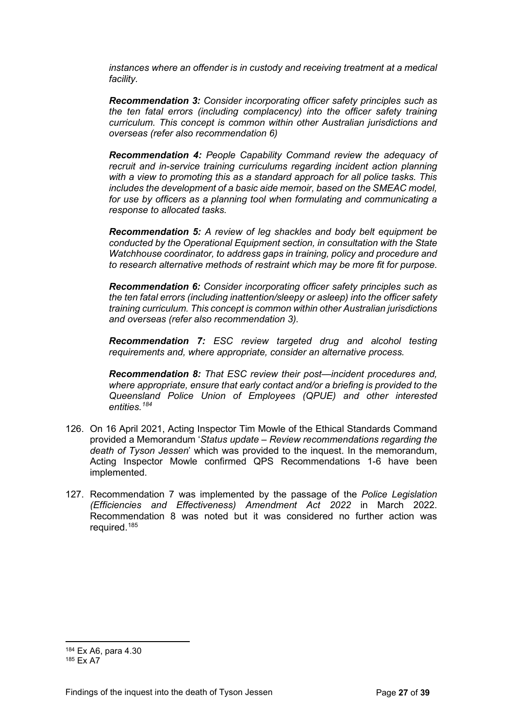*instances where an offender is in custody and receiving treatment at a medical facility.*

*Recommendation 3: Consider incorporating officer safety principles such as the ten fatal errors (including complacency) into the officer safety training curriculum. This concept is common within other Australian jurisdictions and overseas (refer also recommendation 6)*

*Recommendation 4: People Capability Command review the adequacy of recruit and in-service training curriculums regarding incident action planning with a view to promoting this as a standard approach for all police tasks. This includes the development of a basic aide memoir, based on the SMEAC model, for use by officers as a planning tool when formulating and communicating a response to allocated tasks.*

*Recommendation 5: A review of leg shackles and body belt equipment be conducted by the Operational Equipment section, in consultation with the State Watchhouse coordinator, to address gaps in training, policy and procedure and to research alternative methods of restraint which may be more fit for purpose.*

*Recommendation 6: Consider incorporating officer safety principles such as the ten fatal errors (including inattention/sleepy or asleep) into the officer safety training curriculum. This concept is common within other Australian jurisdictions and overseas (refer also recommendation 3).*

*Recommendation 7: ESC review targeted drug and alcohol testing requirements and, where appropriate, consider an alternative process.*

*Recommendation 8: That ESC review their post—incident procedures and, where appropriate, ensure that early contact and/or a briefing is provided to the Queensland Police Union of Employees (QPUE) and other interested entities.[184](#page-26-0)*

- 126. On 16 April 2021, Acting Inspector Tim Mowle of the Ethical Standards Command provided a Memorandum '*Status update – Review recommendations regarding the death of Tyson Jessen*' which was provided to the inquest. In the memorandum, Acting Inspector Mowle confirmed QPS Recommendations 1-6 have been implemented.
- 127. Recommendation 7 was implemented by the passage of the *Police Legislation (Efficiencies and Effectiveness) Amendment Act 2022* in March 2022. Recommendation 8 was noted but it was considered no further action was required.[185](#page-26-1)

<span id="page-26-0"></span><sup>184</sup> Ex A6, para 4.30

<span id="page-26-1"></span><sup>185</sup> Ex A7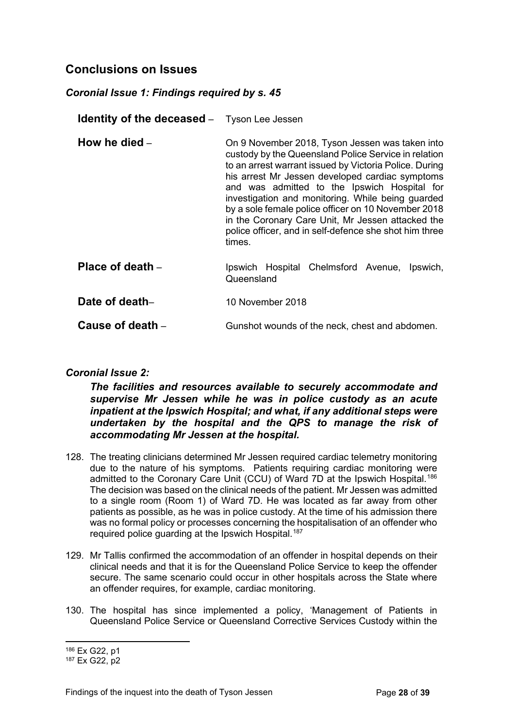## <span id="page-27-0"></span>**Conclusions on Issues**

### <span id="page-27-1"></span>*Coronial Issue 1: Findings required by s. 45*

<span id="page-27-2"></span>**Identity of the deceased** – Tyson Lee Jessen

- <span id="page-27-3"></span>**How he died** – **On 9 November 2018, Tyson Jessen was taken into** custody by the Queensland Police Service in relation to an arrest warrant issued by Victoria Police. During his arrest Mr Jessen developed cardiac symptoms and was admitted to the Ipswich Hospital for investigation and monitoring. While being guarded by a sole female police officer on 10 November 2018 in the Coronary Care Unit, Mr Jessen attacked the police officer, and in self-defence she shot him three times.
- <span id="page-27-4"></span>**Place of death** – Ipswich Hospital Chelmsford Avenue, Ipswich, Queensland

<span id="page-27-5"></span>**Date of death–** 10 November 2018

<span id="page-27-6"></span>**Cause of death** – Gunshot wounds of the neck, chest and abdomen.

### <span id="page-27-7"></span>*Coronial Issue 2:*

*The facilities and resources available to securely accommodate and supervise Mr Jessen while he was in police custody as an acute inpatient at the Ipswich Hospital; and what, if any additional steps were undertaken by the hospital and the QPS to manage the risk of accommodating Mr Jessen at the hospital.*

- 128. The treating clinicians determined Mr Jessen required cardiac telemetry monitoring due to the nature of his symptoms. Patients requiring cardiac monitoring were admitted to the Coronary Care Unit (CCU) of Ward 7D at the Ipswich Hospital.[186](#page-27-8) The decision was based on the clinical needs of the patient. Mr Jessen was admitted to a single room (Room 1) of Ward 7D. He was located as far away from other patients as possible, as he was in police custody. At the time of his admission there was no formal policy or processes concerning the hospitalisation of an offender who required police guarding at the Ipswich Hospital.<sup>[187](#page-27-9)</sup>
- 129. Mr Tallis confirmed the accommodation of an offender in hospital depends on their clinical needs and that it is for the Queensland Police Service to keep the offender secure. The same scenario could occur in other hospitals across the State where an offender requires, for example, cardiac monitoring.
- 130. The hospital has since implemented a policy, 'Management of Patients in Queensland Police Service or Queensland Corrective Services Custody within the

<span id="page-27-8"></span><sup>186</sup> Ex G22, p1

<span id="page-27-9"></span><sup>187</sup> Ex G22, p2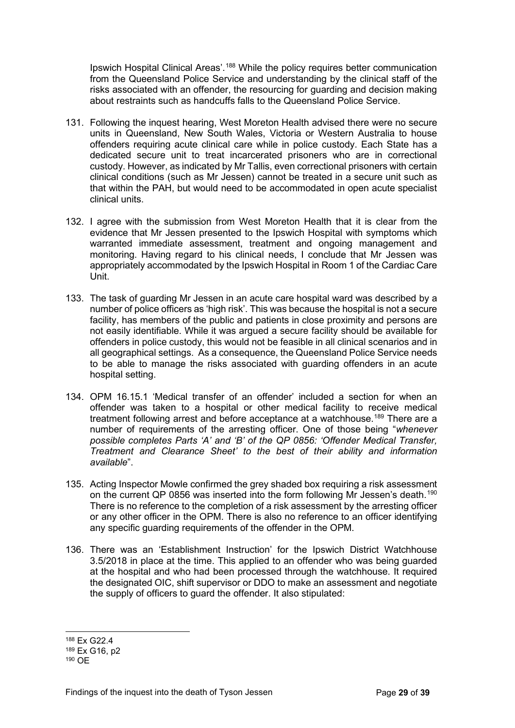Ipswich Hospital Clinical Areas'.<sup>[188](#page-28-0)</sup> While the policy requires better communication from the Queensland Police Service and understanding by the clinical staff of the risks associated with an offender, the resourcing for guarding and decision making about restraints such as handcuffs falls to the Queensland Police Service.

- 131. Following the inquest hearing, West Moreton Health advised there were no secure units in Queensland, New South Wales, Victoria or Western Australia to house offenders requiring acute clinical care while in police custody. Each State has a dedicated secure unit to treat incarcerated prisoners who are in correctional custody. However, as indicated by Mr Tallis, even correctional prisoners with certain clinical conditions (such as Mr Jessen) cannot be treated in a secure unit such as that within the PAH, but would need to be accommodated in open acute specialist clinical units.
- 132. I agree with the submission from West Moreton Health that it is clear from the evidence that Mr Jessen presented to the Ipswich Hospital with symptoms which warranted immediate assessment, treatment and ongoing management and monitoring. Having regard to his clinical needs, I conclude that Mr Jessen was appropriately accommodated by the Ipswich Hospital in Room 1 of the Cardiac Care Unit.
- 133. The task of guarding Mr Jessen in an acute care hospital ward was described by a number of police officers as 'high risk'. This was because the hospital is not a secure facility, has members of the public and patients in close proximity and persons are not easily identifiable. While it was argued a secure facility should be available for offenders in police custody, this would not be feasible in all clinical scenarios and in all geographical settings. As a consequence, the Queensland Police Service needs to be able to manage the risks associated with guarding offenders in an acute hospital setting.
- 134. OPM 16.15.1 'Medical transfer of an offender' included a section for when an offender was taken to a hospital or other medical facility to receive medical treatment following arrest and before acceptance at a watchhouse.<sup>[189](#page-28-1)</sup> There are a number of requirements of the arresting officer. One of those being "*whenever possible completes Parts 'A' and 'B' of the QP 0856: 'Offender Medical Transfer, Treatment and Clearance Sheet' to the best of their ability and information available*".
- 135. Acting Inspector Mowle confirmed the grey shaded box requiring a risk assessment on the current QP 0856 was inserted into the form following Mr Jessen's death.<sup>[190](#page-28-2)</sup> There is no reference to the completion of a risk assessment by the arresting officer or any other officer in the OPM. There is also no reference to an officer identifying any specific guarding requirements of the offender in the OPM.
- 136. There was an 'Establishment Instruction' for the Ipswich District Watchhouse 3.5/2018 in place at the time. This applied to an offender who was being guarded at the hospital and who had been processed through the watchhouse. It required the designated OIC, shift supervisor or DDO to make an assessment and negotiate the supply of officers to guard the offender. It also stipulated:

<span id="page-28-0"></span><sup>188</sup> Ex G22.4

<span id="page-28-1"></span><sup>189</sup> Ex G16, p2

<span id="page-28-2"></span><sup>190</sup> OE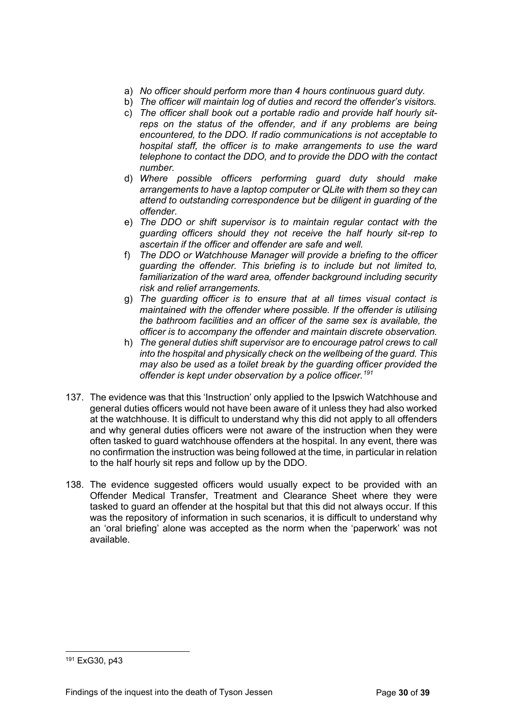- a) *No officer should perform more than 4 hours continuous guard duty.*
- b) *The officer will maintain log of duties and record the offender's visitors.*
- c) *The officer shall book out a portable radio and provide half hourly sitreps on the status of the offender, and if any problems are being encountered, to the DDO. If radio communications is not acceptable to hospital staff, the officer is to make arrangements to use the ward telephone to contact the DDO, and to provide the DDO with the contact number.*
- d) *Where possible officers performing guard duty should make arrangements to have a laptop computer or QLite with them so they can attend to outstanding correspondence but be diligent in guarding of the offender.*
- e) *The DDO or shift supervisor is to maintain regular contact with the guarding officers should they not receive the half hourly sit-rep to ascertain if the officer and offender are safe and well.*
- f) *The DDO or Watchhouse Manager will provide a briefing to the officer guarding the offender. This briefing is to include but not limited to, familiarization of the ward area, offender background including security risk and relief arrangements.*
- g) *The guarding officer is to ensure that at all times visual contact is maintained with the offender where possible. If the offender is utilising the bathroom facilities and an officer of the same sex is available, the officer is to accompany the offender and maintain discrete observation.*
- h) *The general duties shift supervisor are to encourage patrol crews to call into the hospital and physically check on the wellbeing of the guard. This may also be used as a toilet break by the guarding officer provided the offender is kept under observation by a police officer.[191](#page-29-0)*
- 137. The evidence was that this 'Instruction' only applied to the Ipswich Watchhouse and general duties officers would not have been aware of it unless they had also worked at the watchhouse. It is difficult to understand why this did not apply to all offenders and why general duties officers were not aware of the instruction when they were often tasked to guard watchhouse offenders at the hospital. In any event, there was no confirmation the instruction was being followed at the time, in particular in relation to the half hourly sit reps and follow up by the DDO.
- 138. The evidence suggested officers would usually expect to be provided with an Offender Medical Transfer, Treatment and Clearance Sheet where they were tasked to guard an offender at the hospital but that this did not always occur. If this was the repository of information in such scenarios, it is difficult to understand why an 'oral briefing' alone was accepted as the norm when the 'paperwork' was not available.

<span id="page-29-0"></span><sup>191</sup> ExG30, p43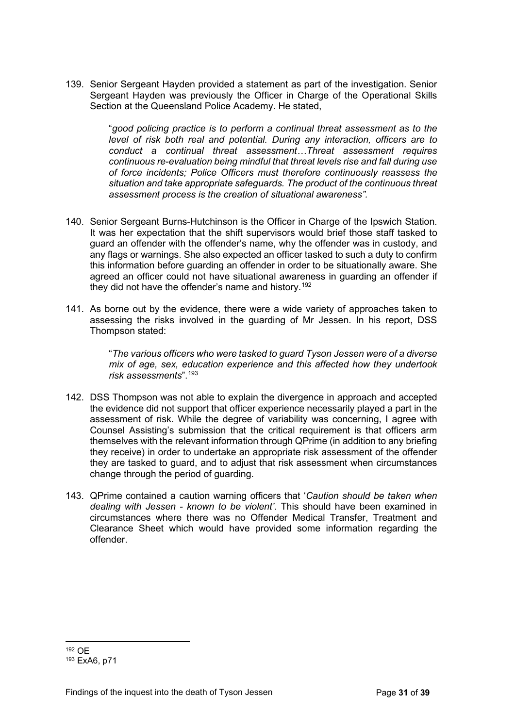139. Senior Sergeant Hayden provided a statement as part of the investigation. Senior Sergeant Hayden was previously the Officer in Charge of the Operational Skills Section at the Queensland Police Academy. He stated,

> "*good policing practice is to perform a continual threat assessment as to the level of risk both real and potential. During any interaction, officers are to conduct a continual threat assessment…Threat assessment requires continuous re-evaluation being mindful that threat levels rise and fall during use of force incidents; Police Officers must therefore continuously reassess the situation and take appropriate safeguards. The product of the continuous threat assessment process is the creation of situational awareness".*

- 140. Senior Sergeant Burns-Hutchinson is the Officer in Charge of the Ipswich Station. It was her expectation that the shift supervisors would brief those staff tasked to guard an offender with the offender's name, why the offender was in custody, and any flags or warnings. She also expected an officer tasked to such a duty to confirm this information before guarding an offender in order to be situationally aware. She agreed an officer could not have situational awareness in guarding an offender if they did not have the offender's name and history.<sup>[192](#page-30-0)</sup>
- 141. As borne out by the evidence, there were a wide variety of approaches taken to assessing the risks involved in the guarding of Mr Jessen. In his report, DSS Thompson stated:

"*The various officers who were tasked to guard Tyson Jessen were of a diverse mix of age, sex, education experience and this affected how they undertook risk assessments*"[.193](#page-30-1)

- 142. DSS Thompson was not able to explain the divergence in approach and accepted the evidence did not support that officer experience necessarily played a part in the assessment of risk. While the degree of variability was concerning, I agree with Counsel Assisting's submission that the critical requirement is that officers arm themselves with the relevant information through QPrime (in addition to any briefing they receive) in order to undertake an appropriate risk assessment of the offender they are tasked to guard, and to adjust that risk assessment when circumstances change through the period of guarding.
- 143. QPrime contained a caution warning officers that '*Caution should be taken when dealing with Jessen - known to be violent'*. This should have been examined in circumstances where there was no Offender Medical Transfer, Treatment and Clearance Sheet which would have provided some information regarding the offender.

<span id="page-30-0"></span><sup>192</sup> OE

<span id="page-30-1"></span><sup>193</sup> ExA6, p71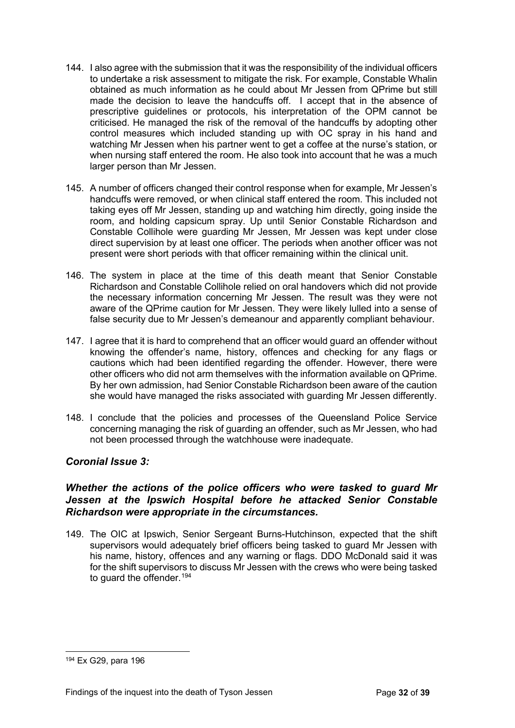- 144. I also agree with the submission that it was the responsibility of the individual officers to undertake a risk assessment to mitigate the risk. For example, Constable Whalin obtained as much information as he could about Mr Jessen from QPrime but still made the decision to leave the handcuffs off. I accept that in the absence of prescriptive guidelines or protocols, his interpretation of the OPM cannot be criticised. He managed the risk of the removal of the handcuffs by adopting other control measures which included standing up with OC spray in his hand and watching Mr Jessen when his partner went to get a coffee at the nurse's station, or when nursing staff entered the room. He also took into account that he was a much larger person than Mr Jessen.
- 145. A number of officers changed their control response when for example, Mr Jessen's handcuffs were removed, or when clinical staff entered the room. This included not taking eyes off Mr Jessen, standing up and watching him directly, going inside the room, and holding capsicum spray. Up until Senior Constable Richardson and Constable Collihole were guarding Mr Jessen, Mr Jessen was kept under close direct supervision by at least one officer. The periods when another officer was not present were short periods with that officer remaining within the clinical unit.
- 146. The system in place at the time of this death meant that Senior Constable Richardson and Constable Collihole relied on oral handovers which did not provide the necessary information concerning Mr Jessen. The result was they were not aware of the QPrime caution for Mr Jessen. They were likely lulled into a sense of false security due to Mr Jessen's demeanour and apparently compliant behaviour.
- 147. I agree that it is hard to comprehend that an officer would guard an offender without knowing the offender's name, history, offences and checking for any flags or cautions which had been identified regarding the offender. However, there were other officers who did not arm themselves with the information available on QPrime. By her own admission, had Senior Constable Richardson been aware of the caution she would have managed the risks associated with guarding Mr Jessen differently.
- 148. I conclude that the policies and processes of the Queensland Police Service concerning managing the risk of guarding an offender, such as Mr Jessen, who had not been processed through the watchhouse were inadequate.

#### <span id="page-31-0"></span>*Coronial Issue 3:*

#### *Whether the actions of the police officers who were tasked to guard Mr Jessen at the Ipswich Hospital before he attacked Senior Constable Richardson were appropriate in the circumstances.*

149. The OIC at Ipswich, Senior Sergeant Burns-Hutchinson, expected that the shift supervisors would adequately brief officers being tasked to guard Mr Jessen with his name, history, offences and any warning or flags. DDO McDonald said it was for the shift supervisors to discuss Mr Jessen with the crews who were being tasked to guard the offender.<sup>[194](#page-31-1)</sup>

<span id="page-31-1"></span><sup>194</sup> Ex G29, para 196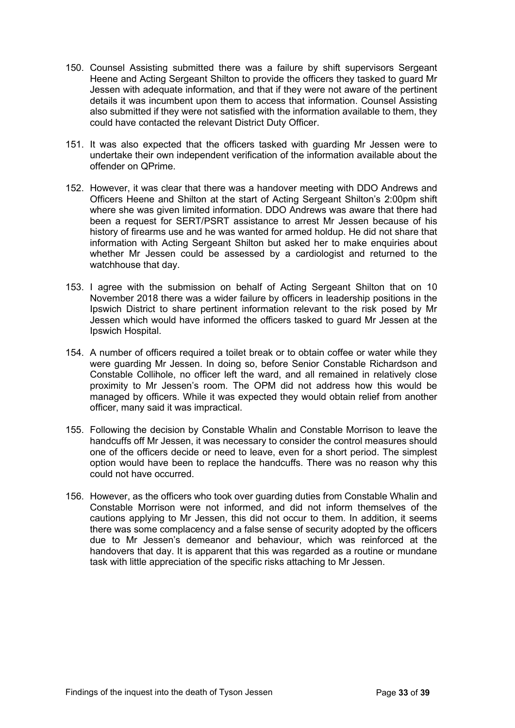- 150. Counsel Assisting submitted there was a failure by shift supervisors Sergeant Heene and Acting Sergeant Shilton to provide the officers they tasked to guard Mr Jessen with adequate information, and that if they were not aware of the pertinent details it was incumbent upon them to access that information. Counsel Assisting also submitted if they were not satisfied with the information available to them, they could have contacted the relevant District Duty Officer.
- 151. It was also expected that the officers tasked with guarding Mr Jessen were to undertake their own independent verification of the information available about the offender on QPrime.
- 152. However, it was clear that there was a handover meeting with DDO Andrews and Officers Heene and Shilton at the start of Acting Sergeant Shilton's 2:00pm shift where she was given limited information. DDO Andrews was aware that there had been a request for SERT/PSRT assistance to arrest Mr Jessen because of his history of firearms use and he was wanted for armed holdup. He did not share that information with Acting Sergeant Shilton but asked her to make enquiries about whether Mr Jessen could be assessed by a cardiologist and returned to the watchhouse that day.
- 153. I agree with the submission on behalf of Acting Sergeant Shilton that on 10 November 2018 there was a wider failure by officers in leadership positions in the Ipswich District to share pertinent information relevant to the risk posed by Mr Jessen which would have informed the officers tasked to guard Mr Jessen at the Ipswich Hospital.
- 154. A number of officers required a toilet break or to obtain coffee or water while they were guarding Mr Jessen. In doing so, before Senior Constable Richardson and Constable Collihole, no officer left the ward, and all remained in relatively close proximity to Mr Jessen's room. The OPM did not address how this would be managed by officers. While it was expected they would obtain relief from another officer, many said it was impractical.
- 155. Following the decision by Constable Whalin and Constable Morrison to leave the handcuffs off Mr Jessen, it was necessary to consider the control measures should one of the officers decide or need to leave, even for a short period. The simplest option would have been to replace the handcuffs. There was no reason why this could not have occurred.
- 156. However, as the officers who took over guarding duties from Constable Whalin and Constable Morrison were not informed, and did not inform themselves of the cautions applying to Mr Jessen, this did not occur to them. In addition, it seems there was some complacency and a false sense of security adopted by the officers due to Mr Jessen's demeanor and behaviour, which was reinforced at the handovers that day. It is apparent that this was regarded as a routine or mundane task with little appreciation of the specific risks attaching to Mr Jessen.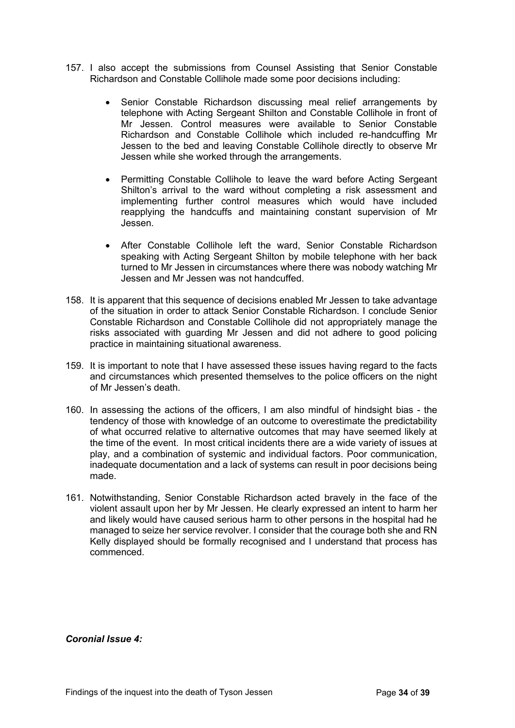- 157. I also accept the submissions from Counsel Assisting that Senior Constable Richardson and Constable Collihole made some poor decisions including:
	- Senior Constable Richardson discussing meal relief arrangements by telephone with Acting Sergeant Shilton and Constable Collihole in front of Mr Jessen. Control measures were available to Senior Constable Richardson and Constable Collihole which included re-handcuffing Mr Jessen to the bed and leaving Constable Collihole directly to observe Mr Jessen while she worked through the arrangements.
	- Permitting Constable Collihole to leave the ward before Acting Sergeant Shilton's arrival to the ward without completing a risk assessment and implementing further control measures which would have included reapplying the handcuffs and maintaining constant supervision of Mr Jessen.
	- After Constable Collihole left the ward, Senior Constable Richardson speaking with Acting Sergeant Shilton by mobile telephone with her back turned to Mr Jessen in circumstances where there was nobody watching Mr Jessen and Mr Jessen was not handcuffed.
- 158. It is apparent that this sequence of decisions enabled Mr Jessen to take advantage of the situation in order to attack Senior Constable Richardson. I conclude Senior Constable Richardson and Constable Collihole did not appropriately manage the risks associated with guarding Mr Jessen and did not adhere to good policing practice in maintaining situational awareness.
- 159. It is important to note that I have assessed these issues having regard to the facts and circumstances which presented themselves to the police officers on the night of Mr Jessen's death.
- 160. In assessing the actions of the officers, I am also mindful of hindsight bias the tendency of those with knowledge of an outcome to overestimate the predictability of what occurred relative to alternative outcomes that may have seemed likely at the time of the event. In most critical incidents there are a wide variety of issues at play, and a combination of systemic and individual factors. Poor communication, inadequate documentation and a lack of systems can result in poor decisions being made.
- 161. Notwithstanding, Senior Constable Richardson acted bravely in the face of the violent assault upon her by Mr Jessen. He clearly expressed an intent to harm her and likely would have caused serious harm to other persons in the hospital had he managed to seize her service revolver. I consider that the courage both she and RN Kelly displayed should be formally recognised and I understand that process has commenced.

<span id="page-33-0"></span>*Coronial Issue 4:*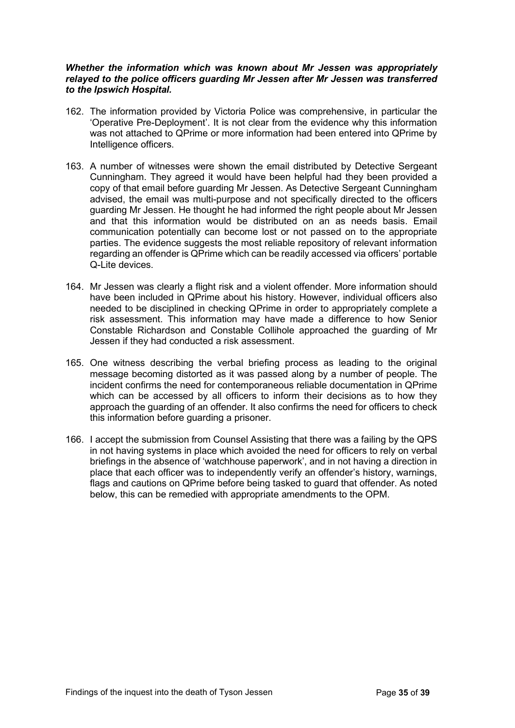#### *Whether the information which was known about Mr Jessen was appropriately relayed to the police officers guarding Mr Jessen after Mr Jessen was transferred to the Ipswich Hospital.*

- 162. The information provided by Victoria Police was comprehensive, in particular the 'Operative Pre-Deployment'. It is not clear from the evidence why this information was not attached to QPrime or more information had been entered into QPrime by Intelligence officers.
- 163. A number of witnesses were shown the email distributed by Detective Sergeant Cunningham. They agreed it would have been helpful had they been provided a copy of that email before guarding Mr Jessen. As Detective Sergeant Cunningham advised, the email was multi-purpose and not specifically directed to the officers guarding Mr Jessen. He thought he had informed the right people about Mr Jessen and that this information would be distributed on an as needs basis. Email communication potentially can become lost or not passed on to the appropriate parties. The evidence suggests the most reliable repository of relevant information regarding an offender is QPrime which can be readily accessed via officers' portable Q-Lite devices.
- 164. Mr Jessen was clearly a flight risk and a violent offender. More information should have been included in QPrime about his history. However, individual officers also needed to be disciplined in checking QPrime in order to appropriately complete a risk assessment. This information may have made a difference to how Senior Constable Richardson and Constable Collihole approached the guarding of Mr Jessen if they had conducted a risk assessment.
- 165. One witness describing the verbal briefing process as leading to the original message becoming distorted as it was passed along by a number of people. The incident confirms the need for contemporaneous reliable documentation in QPrime which can be accessed by all officers to inform their decisions as to how they approach the guarding of an offender. It also confirms the need for officers to check this information before guarding a prisoner.
- 166. I accept the submission from Counsel Assisting that there was a failing by the QPS in not having systems in place which avoided the need for officers to rely on verbal briefings in the absence of 'watchhouse paperwork', and in not having a direction in place that each officer was to independently verify an offender's history, warnings, flags and cautions on QPrime before being tasked to guard that offender. As noted below, this can be remedied with appropriate amendments to the OPM.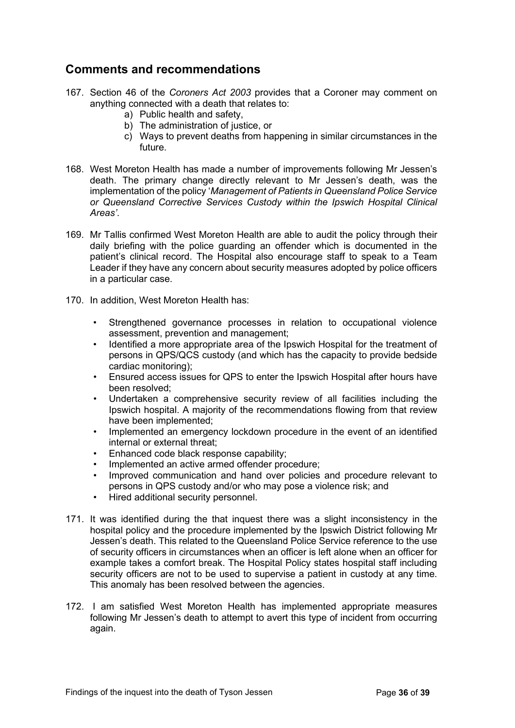## <span id="page-35-0"></span>**Comments and recommendations**

- 167. Section 46 of the *Coroners Act 2003* provides that a Coroner may comment on anything connected with a death that relates to:
	- a) Public health and safety,
	- b) The administration of justice, or
	- c) Ways to prevent deaths from happening in similar circumstances in the future.
- 168. West Moreton Health has made a number of improvements following Mr Jessen's death. The primary change directly relevant to Mr Jessen's death, was the implementation of the policy '*Management of Patients in Queensland Police Service or Queensland Corrective Services Custody within the Ipswich Hospital Clinical Areas'*.
- 169. Mr Tallis confirmed West Moreton Health are able to audit the policy through their daily briefing with the police guarding an offender which is documented in the patient's clinical record. The Hospital also encourage staff to speak to a Team Leader if they have any concern about security measures adopted by police officers in a particular case.
- 170. In addition, West Moreton Health has:
	- Strengthened governance processes in relation to occupational violence assessment, prevention and management;
	- Identified a more appropriate area of the Ipswich Hospital for the treatment of persons in QPS/QCS custody (and which has the capacity to provide bedside cardiac monitoring);
	- Ensured access issues for QPS to enter the Ipswich Hospital after hours have been resolved;
	- Undertaken a comprehensive security review of all facilities including the Ipswich hospital. A majority of the recommendations flowing from that review have been implemented;
	- Implemented an emergency lockdown procedure in the event of an identified internal or external threat;
	- Enhanced code black response capability;
	- Implemented an active armed offender procedure;
	- Improved communication and hand over policies and procedure relevant to persons in QPS custody and/or who may pose a violence risk; and
	- Hired additional security personnel.
- 171. It was identified during the that inquest there was a slight inconsistency in the hospital policy and the procedure implemented by the Ipswich District following Mr Jessen's death. This related to the Queensland Police Service reference to the use of security officers in circumstances when an officer is left alone when an officer for example takes a comfort break. The Hospital Policy states hospital staff including security officers are not to be used to supervise a patient in custody at any time. This anomaly has been resolved between the agencies.
- 172. I am satisfied West Moreton Health has implemented appropriate measures following Mr Jessen's death to attempt to avert this type of incident from occurring again.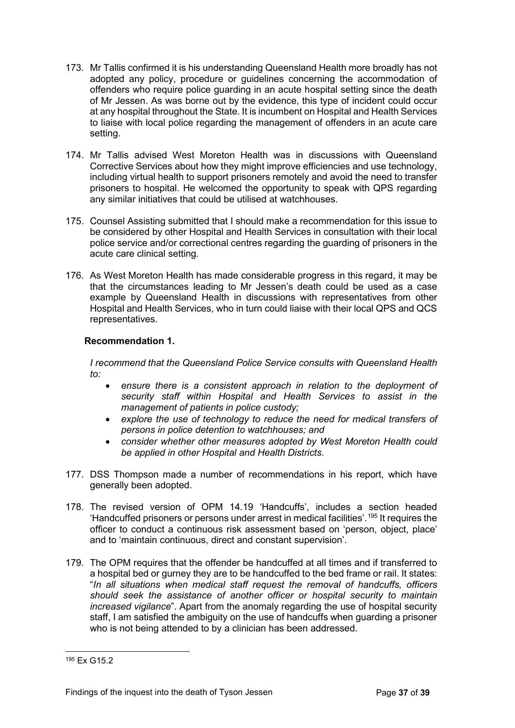- 173. Mr Tallis confirmed it is his understanding Queensland Health more broadly has not adopted any policy, procedure or guidelines concerning the accommodation of offenders who require police guarding in an acute hospital setting since the death of Mr Jessen. As was borne out by the evidence, this type of incident could occur at any hospital throughout the State. It is incumbent on Hospital and Health Services to liaise with local police regarding the management of offenders in an acute care setting.
- 174. Mr Tallis advised West Moreton Health was in discussions with Queensland Corrective Services about how they might improve efficiencies and use technology, including virtual health to support prisoners remotely and avoid the need to transfer prisoners to hospital. He welcomed the opportunity to speak with QPS regarding any similar initiatives that could be utilised at watchhouses.
- 175. Counsel Assisting submitted that I should make a recommendation for this issue to be considered by other Hospital and Health Services in consultation with their local police service and/or correctional centres regarding the guarding of prisoners in the acute care clinical setting.
- 176. As West Moreton Health has made considerable progress in this regard, it may be that the circumstances leading to Mr Jessen's death could be used as a case example by Queensland Health in discussions with representatives from other Hospital and Health Services, who in turn could liaise with their local QPS and QCS representatives.

#### **Recommendation 1.**

*I recommend that the Queensland Police Service consults with Queensland Health to:*

- *ensure there is a consistent approach in relation to the deployment of security staff within Hospital and Health Services to assist in the management of patients in police custody;*
- *explore the use of technology to reduce the need for medical transfers of persons in police detention to watchhouses; and*
- *consider whether other measures adopted by West Moreton Health could be applied in other Hospital and Health Districts.*
- 177. DSS Thompson made a number of recommendations in his report, which have generally been adopted.
- 178. The revised version of OPM 14.19 'Handcuffs', includes a section headed 'Handcuffed prisoners or persons under arrest in medical facilities'.[195](#page-36-0) It requires the officer to conduct a continuous risk assessment based on 'person, object, place' and to 'maintain continuous, direct and constant supervision'.
- 179. The OPM requires that the offender be handcuffed at all times and if transferred to a hospital bed or gurney they are to be handcuffed to the bed frame or rail. It states: "*In all situations when medical staff request the removal of handcuffs, officers should seek the assistance of another officer or hospital security to maintain increased vigilance*". Apart from the anomaly regarding the use of hospital security staff, I am satisfied the ambiguity on the use of handcuffs when guarding a prisoner who is not being attended to by a clinician has been addressed.

<span id="page-36-0"></span><sup>195</sup> Fx G15.2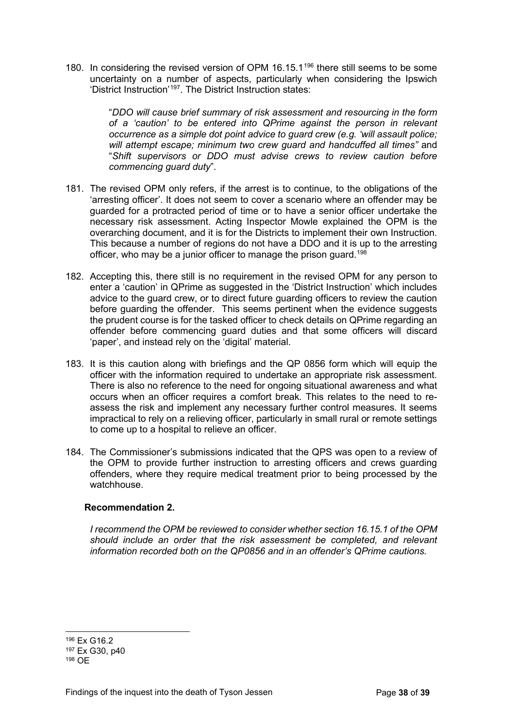180. In considering the revised version of OPM 16.15.1<sup>[196](#page-37-0)</sup> there still seems to be some uncertainty on a number of aspects, particularly when considering the Ipswich 'District Instruction'[197](#page-37-1). The District Instruction states:

> "*DDO will cause brief summary of risk assessment and resourcing in the form of a 'caution' to be entered into QPrime against the person in relevant occurrence as a simple dot point advice to guard crew (e.g. 'will assault police; will attempt escape; minimum two crew guard and handcuffed all times"* and "*Shift supervisors or DDO must advise crews to review caution before commencing guard duty*".

- 181. The revised OPM only refers, if the arrest is to continue, to the obligations of the 'arresting officer'. It does not seem to cover a scenario where an offender may be guarded for a protracted period of time or to have a senior officer undertake the necessary risk assessment. Acting Inspector Mowle explained the OPM is the overarching document, and it is for the Districts to implement their own Instruction. This because a number of regions do not have a DDO and it is up to the arresting officer, who may be a junior officer to manage the prison guard.<sup>[198](#page-37-2)</sup>
- 182. Accepting this, there still is no requirement in the revised OPM for any person to enter a 'caution' in QPrime as suggested in the 'District Instruction' which includes advice to the guard crew, or to direct future guarding officers to review the caution before guarding the offender. This seems pertinent when the evidence suggests the prudent course is for the tasked officer to check details on QPrime regarding an offender before commencing guard duties and that some officers will discard 'paper', and instead rely on the 'digital' material.
- 183. It is this caution along with briefings and the QP 0856 form which will equip the officer with the information required to undertake an appropriate risk assessment. There is also no reference to the need for ongoing situational awareness and what occurs when an officer requires a comfort break. This relates to the need to reassess the risk and implement any necessary further control measures. It seems impractical to rely on a relieving officer, particularly in small rural or remote settings to come up to a hospital to relieve an officer.
- 184. The Commissioner's submissions indicated that the QPS was open to a review of the OPM to provide further instruction to arresting officers and crews guarding offenders, where they require medical treatment prior to being processed by the watchhouse.

#### **Recommendation 2.**

*I recommend the OPM be reviewed to consider whether section 16.15.1 of the OPM should include an order that the risk assessment be completed, and relevant information recorded both on the QP0856 and in an offender's QPrime cautions.* 

<span id="page-37-0"></span><sup>196</sup> Ex G16.2

<span id="page-37-1"></span><sup>197</sup> Ex G30, p40

<span id="page-37-2"></span><sup>198</sup> OE